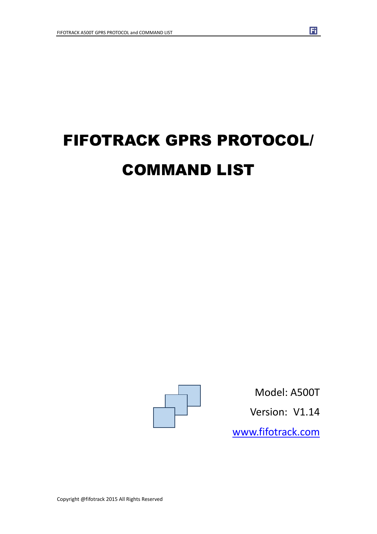# FIFOTRACK GPRS PROTOCOL/ COMMAND LIST



Model: A500T Version: V1.14

Fi

www.fifotrack.com

Copyright @fifotrack 2015 All Rights Reserved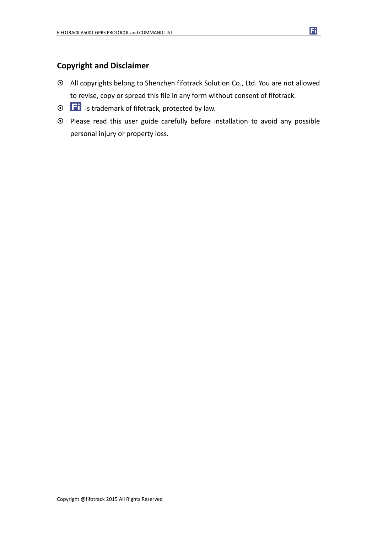### **Copyright and Disclaimer**

- All copyrights belong to Shenzhen fifotrack Solution Co., Ltd. You are not allowed to revise, copy or spread this file in any form without consent of fifotrack.
- $\odot$   $\Box$  is trademark of fifotrack, protected by law.
- Please read this user guide carefully before installation to avoid any possible personal injury or property loss.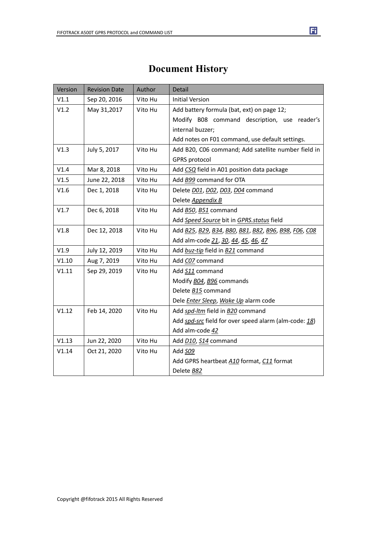### **Document History**

| Version | <b>Revision Date</b> | Author  | Detail                                                       |  |
|---------|----------------------|---------|--------------------------------------------------------------|--|
| V1.1    | Sep 20, 2016         | Vito Hu | <b>Initial Version</b>                                       |  |
| V1.2    | May 31,2017          | Vito Hu | Add battery formula (bat, ext) on page 12;                   |  |
|         |                      |         | Modify B08 command description, use reader's                 |  |
|         |                      |         | internal buzzer;                                             |  |
|         |                      |         | Add notes on F01 command, use default settings.              |  |
| V1.3    | July 5, 2017         | Vito Hu | Add B20, C06 command; Add satellite number field in          |  |
|         |                      |         | <b>GPRS</b> protocol                                         |  |
| V1.4    | Mar 8, 2018          | Vito Hu | Add CSQ field in A01 position data package                   |  |
| V1.5    | June 22, 2018        | Vito Hu | Add B99 command for OTA                                      |  |
| V1.6    | Dec 1, 2018          | Vito Hu | Delete D01, D02, D03, D04 command                            |  |
|         |                      |         | Delete Appendix B                                            |  |
| V1.7    | Dec 6, 2018          | Vito Hu | Add B50, B51 command                                         |  |
|         |                      |         | Add Speed Source bit in GPRS.status field                    |  |
| V1.8    | Dec 12, 2018         | Vito Hu | Add <u>B25</u> , B29, B34, B80, B81, B82, B96, B98, F06, C08 |  |
|         |                      |         | Add alm-code 21, 30, 44, 45, 46, 47                          |  |
| V1.9    | July 12, 2019        | Vito Hu | Add buz-tip field in B21 command                             |  |
| V1.10   | Aug 7, 2019          | Vito Hu | Add C07 command                                              |  |
| V1.11   | Sep 29, 2019         | Vito Hu | Add S11 command                                              |  |
|         |                      |         | Modify <b>BO4</b> , <b>B96</b> commands                      |  |
|         |                      |         | Delete B15 command                                           |  |
|         |                      |         | Dele Enter Sleep, Wake Up alarm code                         |  |
| V1.12   | Feb 14, 2020         | Vito Hu | Add spd-ltm field in B20 command                             |  |
|         |                      |         | Add spd-src field for over speed alarm (alm-code: 18)        |  |
|         |                      |         | Add alm-code 42                                              |  |
| V1.13   | Jun 22, 2020         | Vito Hu | Add D10, S14 command                                         |  |
| V1.14   | Oct 21, 2020         | Vito Hu | Add S09                                                      |  |
|         |                      |         | Add GPRS heartbeat A10 format, C11 format                    |  |
|         |                      |         | Delete B82                                                   |  |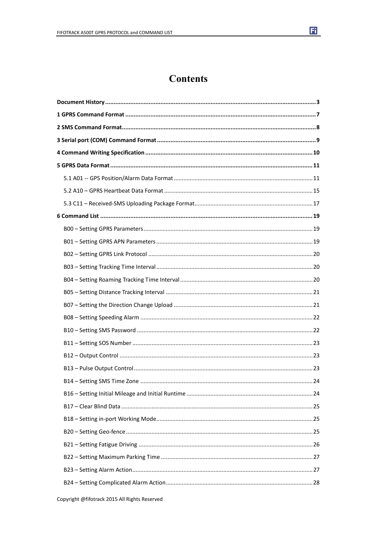

### **Contents**

| . 24 |
|------|
|      |
|      |
|      |
|      |
|      |
|      |
|      |
|      |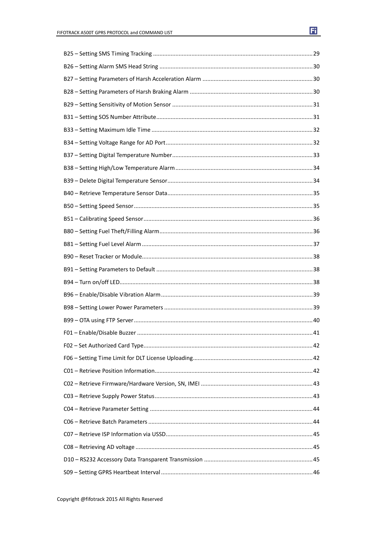|  | . 41 |
|--|------|
|  |      |
|  |      |
|  |      |
|  |      |
|  |      |
|  |      |
|  |      |
|  |      |
|  |      |
|  |      |
|  |      |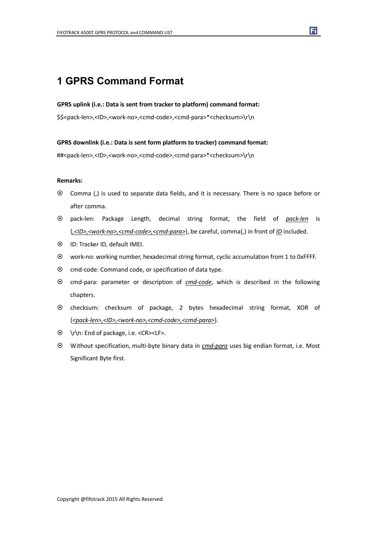### **1 GPRS Command Format**

#### **GPRS uplink (i.e.: Data is sent from tracker to platform) command format:**

\$\$<pack-len>,<ID>,<work-no>,<cmd-code>,<cmd-para>\*<checksum>\r\n

#### **GPRS downlink (i.e.: Data is sent form platform to tracker) command format:**

##<pack-len>,<ID>,<work-no>,<cmd-code>,<cmd-para>\*<checksum>\r\n

#### **Remarks:**

- Comma (,) is used to separate data fields, and it is necessary. There is no space before or after comma.
- pack-len: Package Length, decimal string format, the field of *pack-len* is {*,<ID>,<work-no>,<cmd-code>,<cmd-para>*}, be careful, comma(,) in front of *ID* included.
- ID: Tracker ID, default IMEI.
- work-no: working number, hexadecimal string format, cyclic accumulation from 1 to 0xFFFF.
- $\odot$  cmd-code: Command code, or specification of data type.
- cmd-para: parameter or description of *cmd-code*, which is described in the following chapters.
- checksum: checksum of package, 2 bytes hexadecimal string format, XOR of {*<pack-len>,<ID>,<work-no>,<cmd-code>,<cmd-para>*}.
- \r\n: End of package, i.e. <CR><LF>.
- Without specification, multi-byte binary data in *cmd-para* uses big endian format, i.e. Most Significant Byte first.

Copyright @fifotrack 2015 All Rights Reserved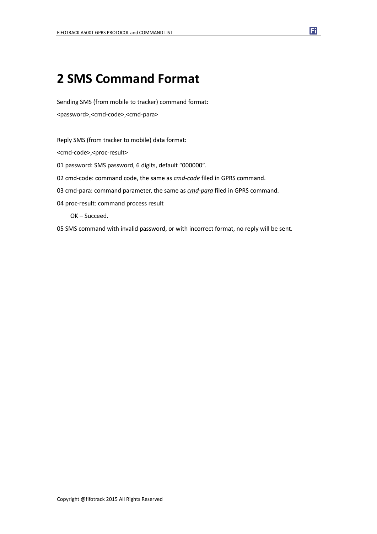# **2 SMS Command Format**

Sending SMS (from mobile to tracker) command format: <password>,<cmd-code>,<cmd-para>

Reply SMS (from tracker to mobile) data format: <cmd-code>,<proc-result> 01 password: SMS password, 6 digits, default "000000". 02 cmd-code: command code, the same as *cmd-code* filed in GPRS command. 03 cmd-para: command parameter, the same as *cmd-para* filed in GPRS command. 04 proc-result: command process result OK – Succeed.

05 SMS command with invalid password, or with incorrect format, no reply will be sent.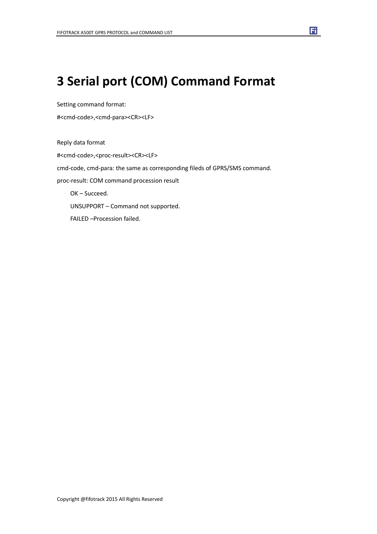# **3 Serial port (COM) Command Format**

Setting command format:

#<cmd-code>,<cmd-para><CR><LF>

Reply data format #<cmd-code>,<proc-result><CR><LF> cmd-code, cmd-para: the same as corresponding fileds of GPRS/SMS command. proc-result: COM command procession result OK – Succeed. UNSUPPORT – Command not supported. FAILED –Procession failed.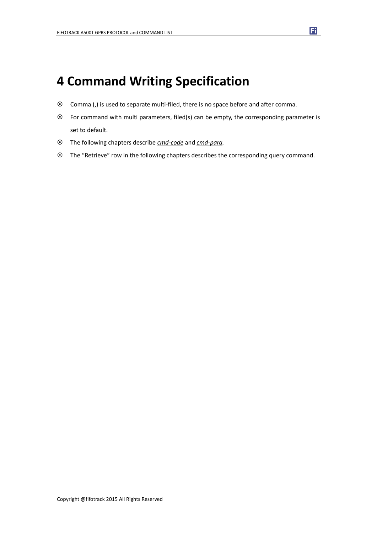### **4 Command Writing Specification**

- Comma (,) is used to separate multi-filed, there is no space before and after comma.
- $\odot$  For command with multi parameters, filed(s) can be empty, the corresponding parameter is set to default.
- The following chapters describe *cmd-code* and *cmd-para.*
- The "Retrieve" row in the following chapters describes the corresponding query command.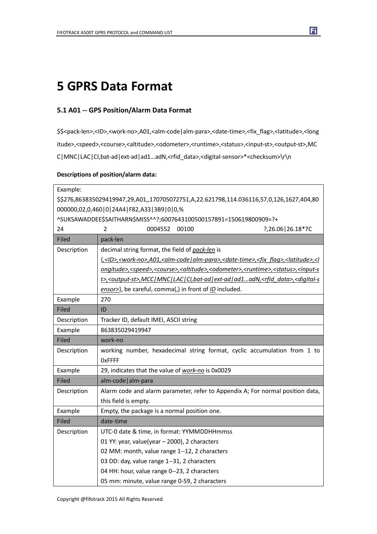# **5 GPRS Data Format**

### **5.1 A01 -- GPS Position/Alarm Data Format**

\$\$<pack-len>,<ID>,<work-no>,A01,<alm-code|alm-para>,<date-time>,<fix\_flag>,<latitude>,<long itude>,<speed>,<course>,<altitude>,<odometer>,<runtime>,<status>,<input-st>,<output-st>,MC C|MNC|LAC|CI,bat-ad|ext-ad|ad1…adN,<rfid\_data>,<digital-sensor>\*<checksum>\r\n

#### **Descriptions of position/alarm data:**

| Example:                                             |                                                                                                                                                               |  |  |
|------------------------------------------------------|---------------------------------------------------------------------------------------------------------------------------------------------------------------|--|--|
|                                                      | \$\$276,863835029419947,29,A01,,170705072751,A,22.621798,114.036116,57,0,126,1627,404,80                                                                      |  |  |
| 000000,02,0,460   0   24A4   F82,A33   3B9   0   0,% |                                                                                                                                                               |  |  |
|                                                      | ^SUKSAWADDEE\$SAITHARN\$MISS^^?;6007643100500157891=150619800909=?+                                                                                           |  |  |
| 24                                                   | 0004552<br>00100<br>?,26.06   26.18*7C<br>2                                                                                                                   |  |  |
| Filed                                                | pack-len                                                                                                                                                      |  |  |
| Description                                          | decimal string format, the field of pack-len is                                                                                                               |  |  |
|                                                      | { <id>,<work-no>,A01,<alm-code alm-para>,<date-time>,<fix flag="">,<latitude>,<l< td=""></l<></latitude></fix></date-time></alm-code alm-para></work-no></id> |  |  |
|                                                      | ongitude>, <speed>,<course>,<altitude>,<odometer>,<runtime>,<status>,<input-s< td=""></input-s<></status></runtime></odometer></altitude></course></speed>    |  |  |
|                                                      | t>, <output-st>,MCC MNC LAC CI,bat-ad ext-ad ad1adN,<rfid_data>,<digital-s< td=""></digital-s<></rfid_data></output-st>                                       |  |  |
|                                                      | ensor>}, be careful, comma(,) in front of <i>ID</i> included.                                                                                                 |  |  |
| Example                                              | 270                                                                                                                                                           |  |  |
| Filed                                                | ID                                                                                                                                                            |  |  |
| Description                                          | Tracker ID, default IMEI, ASCII string                                                                                                                        |  |  |
| Example                                              | 863835029419947                                                                                                                                               |  |  |
| Filed                                                | work-no                                                                                                                                                       |  |  |
| Description                                          | working number, hexadecimal string format, cyclic accumulation from 1 to                                                                                      |  |  |
|                                                      | OxFFFF                                                                                                                                                        |  |  |
| Example                                              | 29, indicates that the value of work-no is 0x0029                                                                                                             |  |  |
| Filed                                                | alm-code   alm-para                                                                                                                                           |  |  |
| Description                                          | Alarm code and alarm parameter, refer to Appendix A; For normal position data,                                                                                |  |  |
|                                                      | this field is empty.                                                                                                                                          |  |  |
| Example                                              | Empty, the package is a normal position one.                                                                                                                  |  |  |
| Filed                                                | date-time                                                                                                                                                     |  |  |
| Description                                          | UTC-0 date & time, in format: YYMMDDHHmmss                                                                                                                    |  |  |
|                                                      | 01 YY: year, value(year - 2000), 2 characters                                                                                                                 |  |  |
|                                                      | 02 MM: month, value range 1--12, 2 characters                                                                                                                 |  |  |
|                                                      | 03 DD: day, value range 1--31, 2 characters                                                                                                                   |  |  |
|                                                      | 04 HH: hour, value range 0--23, 2 characters                                                                                                                  |  |  |
|                                                      | 05 mm: minute, value range 0-59, 2 characters                                                                                                                 |  |  |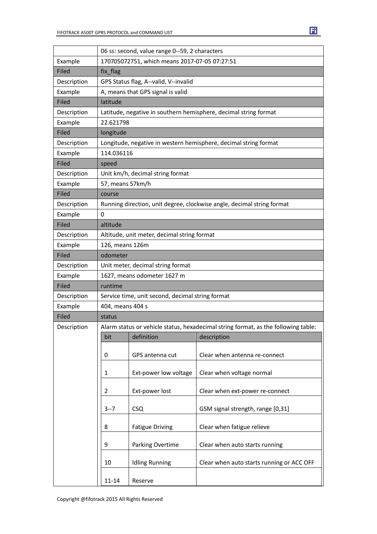|             | 06 ss: second, value range 0--59, 2 characters |                                                  |                                                                                    |  |  |
|-------------|------------------------------------------------|--------------------------------------------------|------------------------------------------------------------------------------------|--|--|
| Example     | 170705072751, which means 2017-07-05 07:27:51  |                                                  |                                                                                    |  |  |
| Filed       | fix_flag                                       |                                                  |                                                                                    |  |  |
| Description | GPS Status flag, A--valid, V--invalid          |                                                  |                                                                                    |  |  |
| Example     | A, means that GPS signal is valid              |                                                  |                                                                                    |  |  |
| Filed       | latitude                                       |                                                  |                                                                                    |  |  |
| Description |                                                |                                                  | Latitude, negative in southern hemisphere, decimal string format                   |  |  |
| Example     | 22.621798                                      |                                                  |                                                                                    |  |  |
| Filed       | longitude                                      |                                                  |                                                                                    |  |  |
| Description |                                                |                                                  | Longitude, negative in western hemisphere, decimal string format                   |  |  |
| Example     | 114.036116                                     |                                                  |                                                                                    |  |  |
| Filed       | speed                                          |                                                  |                                                                                    |  |  |
| Description |                                                | Unit km/h, decimal string format                 |                                                                                    |  |  |
| Example     | 57, means 57km/h                               |                                                  |                                                                                    |  |  |
| Filed       | course                                         |                                                  |                                                                                    |  |  |
| Description |                                                |                                                  | Running direction, unit degree, clockwise angle, decimal string format             |  |  |
| Example     | $\mathbf 0$                                    |                                                  |                                                                                    |  |  |
| Filed       | altitude                                       |                                                  |                                                                                    |  |  |
| Description |                                                | Altitude, unit meter, decimal string format      |                                                                                    |  |  |
| Example     | 126, means 126m                                |                                                  |                                                                                    |  |  |
| Filed       | odometer                                       |                                                  |                                                                                    |  |  |
| Description | Unit meter, decimal string format              |                                                  |                                                                                    |  |  |
| Example     | 1627, means odometer 1627 m                    |                                                  |                                                                                    |  |  |
| Filed       | runtime                                        |                                                  |                                                                                    |  |  |
| Description |                                                | Service time, unit second, decimal string format |                                                                                    |  |  |
| Example     | 404, means 404 s                               |                                                  |                                                                                    |  |  |
| Filed       | status                                         |                                                  |                                                                                    |  |  |
| Description |                                                |                                                  | Alarm status or vehicle status, hexadecimal string format, as the following table: |  |  |
|             | bit                                            | definition                                       | description                                                                        |  |  |
|             | 0                                              | GPS antenna cut                                  | Clear when antenna re-connect                                                      |  |  |
|             | $\mathbf{1}$                                   | Ext-power low voltage                            | Clear when voltage normal                                                          |  |  |
|             | 2                                              | Ext-power lost                                   | Clear when ext-power re-connect                                                    |  |  |
|             | $3 - 7$                                        | <b>CSQ</b>                                       | GSM signal strength, range [0,31]                                                  |  |  |
|             | 8                                              | <b>Fatigue Driving</b>                           | Clear when fatigue relieve                                                         |  |  |
|             | 9                                              | Parking Overtime                                 | Clear when auto starts running                                                     |  |  |
|             | 10                                             | <b>Idling Running</b>                            | Clear when auto starts running or ACC OFF                                          |  |  |
|             | 11-14                                          | Reserve                                          |                                                                                    |  |  |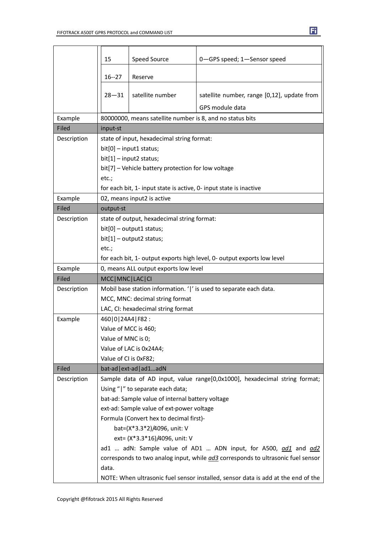|             | 15                                                                      | Speed Source                                                       | 0-GPS speed; 1-Sensor speed                                                      |  |
|-------------|-------------------------------------------------------------------------|--------------------------------------------------------------------|----------------------------------------------------------------------------------|--|
|             | $16 - 27$                                                               | Reserve                                                            |                                                                                  |  |
|             |                                                                         |                                                                    |                                                                                  |  |
|             | $28 - 31$                                                               | satellite number                                                   | satellite number, range [0,12], update from                                      |  |
|             |                                                                         |                                                                    | GPS module data                                                                  |  |
| Example     |                                                                         | 80000000, means satellite number is 8, and no status bits          |                                                                                  |  |
| Filed       | input-st                                                                |                                                                    |                                                                                  |  |
| Description |                                                                         | state of input, hexadecimal string format:                         |                                                                                  |  |
|             |                                                                         | $bit[0]$ – input1 status;                                          |                                                                                  |  |
|             |                                                                         | $bit[1]$ – input2 status;                                          |                                                                                  |  |
|             |                                                                         | bit[7] - Vehicle battery protection for low voltage                |                                                                                  |  |
|             | etc.;                                                                   |                                                                    |                                                                                  |  |
|             |                                                                         | for each bit, 1- input state is active, 0- input state is inactive |                                                                                  |  |
| Example     |                                                                         | 02, means input2 is active                                         |                                                                                  |  |
| Filed       | output-st                                                               |                                                                    |                                                                                  |  |
| Description |                                                                         | state of output, hexadecimal string format:                        |                                                                                  |  |
|             |                                                                         | $bit[0]$ – output1 status;                                         |                                                                                  |  |
|             |                                                                         | $bit[1]$ – output2 status;                                         |                                                                                  |  |
|             | $etc.$ ;                                                                |                                                                    |                                                                                  |  |
|             | for each bit, 1- output exports high level, 0- output exports low level |                                                                    |                                                                                  |  |
| Example     | 0, means ALL output exports low level                                   |                                                                    |                                                                                  |  |
|             | MCC   MNC   LAC   CI                                                    |                                                                    |                                                                                  |  |
| Filed       |                                                                         |                                                                    |                                                                                  |  |
| Description |                                                                         |                                                                    | Mobil base station information. ' ' is used to separate each data.               |  |
|             |                                                                         | MCC, MNC: decimal string format                                    |                                                                                  |  |
|             |                                                                         | LAC, CI: hexadecimal string format                                 |                                                                                  |  |
| Example     | 460   0   24A4   F82 :                                                  |                                                                    |                                                                                  |  |
|             |                                                                         | Value of MCC is 460;                                               |                                                                                  |  |
|             | Value of MNC is 0;                                                      |                                                                    |                                                                                  |  |
|             |                                                                         | Value of LAC is 0x24A4;                                            |                                                                                  |  |
|             | Value of CI is 0xF82;                                                   |                                                                    |                                                                                  |  |
| Filed       |                                                                         | bat-ad   ext-ad   ad1adN                                           |                                                                                  |  |
| Description |                                                                         |                                                                    | Sample data of AD input, value range[0,0x1000], hexadecimal string format;       |  |
|             |                                                                         | Using " " to separate each data;                                   |                                                                                  |  |
|             |                                                                         | bat-ad: Sample value of internal battery voltage                   |                                                                                  |  |
|             |                                                                         | ext-ad: Sample value of ext-power voltage                          |                                                                                  |  |
|             |                                                                         | Formula (Convert hex to decimal first)-                            |                                                                                  |  |
|             |                                                                         | bat=(X*3.3*2)/4096, unit: V                                        |                                                                                  |  |
|             |                                                                         | ext= (X*3.3*16)/4096, unit: V                                      |                                                                                  |  |
|             |                                                                         |                                                                    | ad1  adN: Sample value of AD1  ADN input, for A500, ad1 and ad2                  |  |
|             |                                                                         |                                                                    | corresponds to two analog input, while ad3 corresponds to ultrasonic fuel sensor |  |
|             | data.                                                                   |                                                                    |                                                                                  |  |

固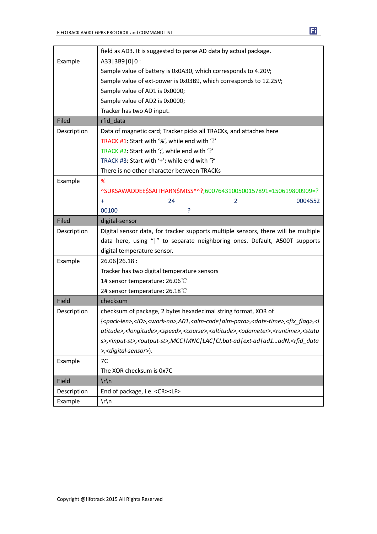|             | field as AD3. It is suggested to parse AD data by actual package.                                                                                               |  |  |  |
|-------------|-----------------------------------------------------------------------------------------------------------------------------------------------------------------|--|--|--|
| Example     | A33   3B9   0   0 :                                                                                                                                             |  |  |  |
|             | Sample value of battery is 0x0A30, which corresponds to 4.20V;                                                                                                  |  |  |  |
|             | Sample value of ext-power is 0x03B9, which corresponds to 12.25V;                                                                                               |  |  |  |
|             | Sample value of AD1 is 0x0000;                                                                                                                                  |  |  |  |
|             | Sample value of AD2 is 0x0000;                                                                                                                                  |  |  |  |
|             | Tracker has two AD input.                                                                                                                                       |  |  |  |
| Filed       | rfid data                                                                                                                                                       |  |  |  |
| Description | Data of magnetic card; Tracker picks all TRACKs, and attaches here                                                                                              |  |  |  |
|             | TRACK #1: Start with '%', while end with '?'                                                                                                                    |  |  |  |
|             | TRACK #2: Start with ';', while end with '?'                                                                                                                    |  |  |  |
|             | TRACK #3: Start with '+'; while end with '?'                                                                                                                    |  |  |  |
|             | There is no other character between TRACKs                                                                                                                      |  |  |  |
| Example     | %                                                                                                                                                               |  |  |  |
|             | ^SUKSAWADDEE\$SAITHARN\$MISS^^?;6007643100500157891=150619800909=?                                                                                              |  |  |  |
|             | 24<br>0004552<br>2<br>$\ddot{}$                                                                                                                                 |  |  |  |
|             | ?<br>00100                                                                                                                                                      |  |  |  |
| Filed       | digital-sensor                                                                                                                                                  |  |  |  |
| Description | Digital sensor data, for tracker supports multiple sensors, there will be multiple                                                                              |  |  |  |
|             | data here, using " " to separate neighboring ones. Default, A500T supports                                                                                      |  |  |  |
|             | digital temperature sensor.                                                                                                                                     |  |  |  |
| Example     | 26.06   26.18 :                                                                                                                                                 |  |  |  |
|             | Tracker has two digital temperature sensors                                                                                                                     |  |  |  |
|             | 1# sensor temperature: $26.06^{\circ}$ C                                                                                                                        |  |  |  |
|             | 2# sensor temperature: 26.18°C                                                                                                                                  |  |  |  |
| Field       | checksum                                                                                                                                                        |  |  |  |
| Description | checksum of package, 2 bytes hexadecimal string format, XOR of                                                                                                  |  |  |  |
|             | { <pack-len>,<id>,<work-no>,A01,<alm-code alm-para>,<date-time>,<fix_flag>,<l< td=""></l<></fix_flag></date-time></alm-code alm-para></work-no></id></pack-len> |  |  |  |
|             | atitude>, <longitude>,<speed>,<course>,<altitude>,<odometer>,<runtime>,<statu< td=""></statu<></runtime></odometer></altitude></course></speed></longitude>     |  |  |  |
|             | s>, <input-st>,<output-st>,MCC MNC LAC CI,bat-ad ext-ad ad1adN,<rfid_data< td=""></rfid_data<></output-st></input-st>                                           |  |  |  |
|             | >, < digital-sensor>}.                                                                                                                                          |  |  |  |
| Example     | 7C                                                                                                                                                              |  |  |  |
|             | The XOR checksum is 0x7C                                                                                                                                        |  |  |  |
|             |                                                                                                                                                                 |  |  |  |
| Field       | $\ln$                                                                                                                                                           |  |  |  |
| Description | End of package, i.e. <cr><lf></lf></cr>                                                                                                                         |  |  |  |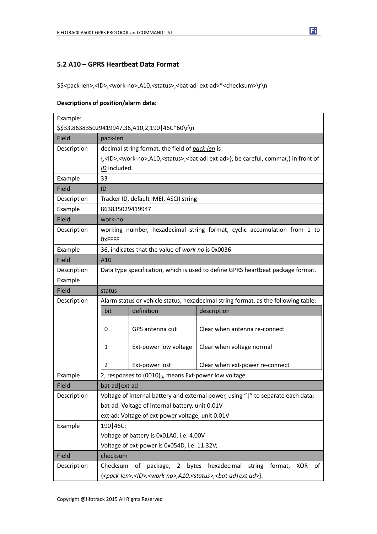### **5.2 A10 – GPRS Heartbeat Data Format**

\$\$<pack-len>,<lD>,<work-no>,A10,<status>,<br/>sbat-ad|ext-ad>\*<checksum>\r\n

#### **Descriptions of position/alarm data:**

| Example:                                         |                                                                                         |                                                                                                                |                                                                                                                          |
|--------------------------------------------------|-----------------------------------------------------------------------------------------|----------------------------------------------------------------------------------------------------------------|--------------------------------------------------------------------------------------------------------------------------|
| \$\$33,863835029419947,36,A10,2,190   46C*60\r\n |                                                                                         |                                                                                                                |                                                                                                                          |
| Field                                            | pack-len                                                                                |                                                                                                                |                                                                                                                          |
| Description                                      | decimal string format, the field of pack-len is                                         |                                                                                                                |                                                                                                                          |
|                                                  |                                                                                         |                                                                                                                | {, <id>,<work-no>,A10,<status>,<br/><br/>shat-ad   ext-ad&gt;}, be careful, comma(,) in front of</status></work-no></id> |
|                                                  | ID included.                                                                            |                                                                                                                |                                                                                                                          |
| Example                                          | 33                                                                                      |                                                                                                                |                                                                                                                          |
| Field                                            | ID                                                                                      |                                                                                                                |                                                                                                                          |
| Description                                      |                                                                                         | Tracker ID, default IMEI, ASCII string                                                                         |                                                                                                                          |
| Example                                          | 863835029419947                                                                         |                                                                                                                |                                                                                                                          |
| Field                                            | work-no                                                                                 |                                                                                                                |                                                                                                                          |
| Description                                      | working number, hexadecimal string format, cyclic accumulation from 1 to<br>OxFFFF      |                                                                                                                |                                                                                                                          |
| Example                                          | 36, indicates that the value of work-no is 0x0036                                       |                                                                                                                |                                                                                                                          |
| Field                                            | A10                                                                                     |                                                                                                                |                                                                                                                          |
| Description                                      | Data type specification, which is used to define GPRS heartbeat package format.         |                                                                                                                |                                                                                                                          |
| Example                                          |                                                                                         |                                                                                                                |                                                                                                                          |
| Field                                            | status                                                                                  |                                                                                                                |                                                                                                                          |
| Description                                      |                                                                                         |                                                                                                                | Alarm status or vehicle status, hexadecimal string format, as the following table:                                       |
|                                                  | bit                                                                                     | definition                                                                                                     | description                                                                                                              |
|                                                  |                                                                                         |                                                                                                                |                                                                                                                          |
|                                                  | 0                                                                                       | GPS antenna cut                                                                                                | Clear when antenna re-connect                                                                                            |
|                                                  |                                                                                         |                                                                                                                |                                                                                                                          |
|                                                  | 1                                                                                       | Ext-power low voltage                                                                                          | Clear when voltage normal                                                                                                |
|                                                  | $\overline{2}$                                                                          | Ext-power lost                                                                                                 | Clear when ext-power re-connect                                                                                          |
| Example                                          |                                                                                         | 2, responses to (0010) <sub>B</sub> , means Ext-power low voltage                                              |                                                                                                                          |
| Field                                            | bat-ad   ext-ad                                                                         |                                                                                                                |                                                                                                                          |
| Description                                      | Voltage of internal battery and external power, using " " to separate each data;        |                                                                                                                |                                                                                                                          |
|                                                  |                                                                                         | bat-ad: Voltage of internal battery, unit 0.01V                                                                |                                                                                                                          |
|                                                  | ext-ad: Voltage of ext-power voltage, unit 0.01V                                        |                                                                                                                |                                                                                                                          |
| Example                                          | 190   46C:                                                                              |                                                                                                                |                                                                                                                          |
|                                                  |                                                                                         | Voltage of battery is 0x01A0, i.e. 4.00V                                                                       |                                                                                                                          |
|                                                  | Voltage of ext-power is 0x054D, i.e. 11.32V;                                            |                                                                                                                |                                                                                                                          |
| Field                                            | checksum                                                                                |                                                                                                                |                                                                                                                          |
| Description                                      | hexadecimal<br>Checksum<br>package,<br>2 bytes<br>οf<br>string<br>format,<br><b>XOR</b> |                                                                                                                | of                                                                                                                       |
|                                                  |                                                                                         | { <pack-len>,<id>,<work-no>,A10,<status>,<bat-ad ext-ad=""  ="">}.</bat-ad></status></work-no></id></pack-len> |                                                                                                                          |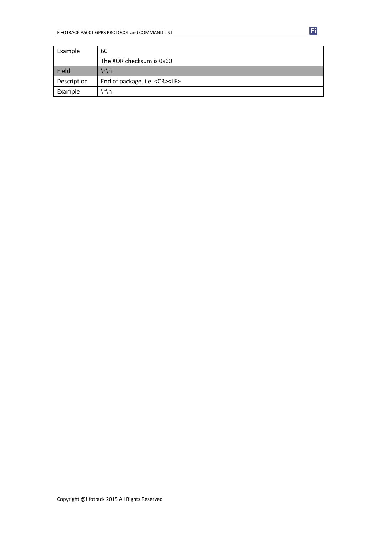| Example     | 60                                      |
|-------------|-----------------------------------------|
|             | The XOR checksum is 0x60                |
| Field       | \r\n                                    |
| Description | End of package, i.e. <cr><lf></lf></cr> |
| Example     | ∖r\n                                    |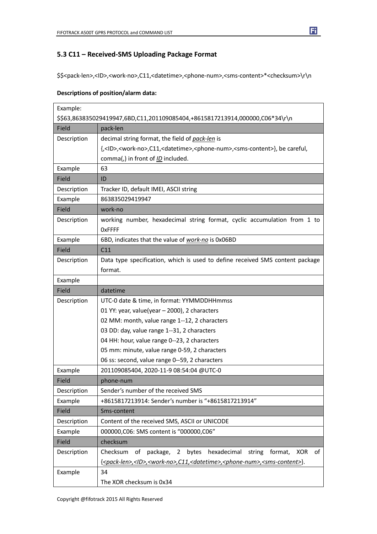### **5.3 C11 – Received-SMS Uploading Package Format**

\$\$<pack-len>,<ID>,<work-no>,C11,<datetime>,<phone-num>,<sms-content>\*<checksum>\r\n

#### **Descriptions of position/alarm data:**

| Example:                                                                     |                                                                                                                                       |  |  |  |
|------------------------------------------------------------------------------|---------------------------------------------------------------------------------------------------------------------------------------|--|--|--|
| \$\$63,863835029419947,6BD,C11,201109085404,+8615817213914,000000,C06*34\r\n |                                                                                                                                       |  |  |  |
| Field                                                                        | pack-len                                                                                                                              |  |  |  |
| Description                                                                  | decimal string format, the field of pack-len is                                                                                       |  |  |  |
|                                                                              | {, <id>,<work-no>,C11,<datetime>,<phone-num>,<sms-content>}, be careful,</sms-content></phone-num></datetime></work-no></id>          |  |  |  |
|                                                                              | comma(,) in front of <i>ID</i> included.                                                                                              |  |  |  |
| Example                                                                      | 63                                                                                                                                    |  |  |  |
| Field                                                                        | ID                                                                                                                                    |  |  |  |
| Description                                                                  | Tracker ID, default IMEI, ASCII string                                                                                                |  |  |  |
| Example                                                                      | 863835029419947                                                                                                                       |  |  |  |
| Field                                                                        | work-no                                                                                                                               |  |  |  |
| Description                                                                  | working number, hexadecimal string format, cyclic accumulation from 1 to<br>OxFFFF                                                    |  |  |  |
| Example                                                                      | 6BD, indicates that the value of work-no is 0x06BD                                                                                    |  |  |  |
| Field                                                                        | C11                                                                                                                                   |  |  |  |
| Description                                                                  | Data type specification, which is used to define received SMS content package                                                         |  |  |  |
|                                                                              | format.                                                                                                                               |  |  |  |
| Example                                                                      |                                                                                                                                       |  |  |  |
| Field                                                                        | datetime                                                                                                                              |  |  |  |
| Description                                                                  | UTC-0 date & time, in format: YYMMDDHHmmss                                                                                            |  |  |  |
|                                                                              | 01 YY: year, value(year - 2000), 2 characters                                                                                         |  |  |  |
|                                                                              | 02 MM: month, value range 1--12, 2 characters                                                                                         |  |  |  |
|                                                                              | 03 DD: day, value range 1--31, 2 characters                                                                                           |  |  |  |
|                                                                              | 04 HH: hour, value range 0--23, 2 characters                                                                                          |  |  |  |
|                                                                              | 05 mm: minute, value range 0-59, 2 characters                                                                                         |  |  |  |
|                                                                              | 06 ss: second, value range 0--59, 2 characters                                                                                        |  |  |  |
| Example                                                                      | 201109085404, 2020-11-9 08:54:04 @UTC-0                                                                                               |  |  |  |
| Field                                                                        | phone-num                                                                                                                             |  |  |  |
| Description                                                                  | Sender's number of the received SMS                                                                                                   |  |  |  |
| Example                                                                      | +8615817213914: Sender's number is "+8615817213914"                                                                                   |  |  |  |
| Field                                                                        | Sms-content                                                                                                                           |  |  |  |
| Description                                                                  | Content of the received SMS, ASCII or UNICODE                                                                                         |  |  |  |
| Example                                                                      | 000000, C06: SMS content is "000000, C06"                                                                                             |  |  |  |
| Field                                                                        | checksum                                                                                                                              |  |  |  |
| Description                                                                  | package, 2 bytes<br>hexadecimal<br>of<br>Checksum<br>string<br>format,<br><b>XOR</b><br>οf                                            |  |  |  |
|                                                                              | { <pack-len>,<ld>,<work-no>,C11,<datetime>,<phone-num>,<sms-content>}.</sms-content></phone-num></datetime></work-no></ld></pack-len> |  |  |  |
| Example                                                                      | 34                                                                                                                                    |  |  |  |
| The XOR checksum is 0x34                                                     |                                                                                                                                       |  |  |  |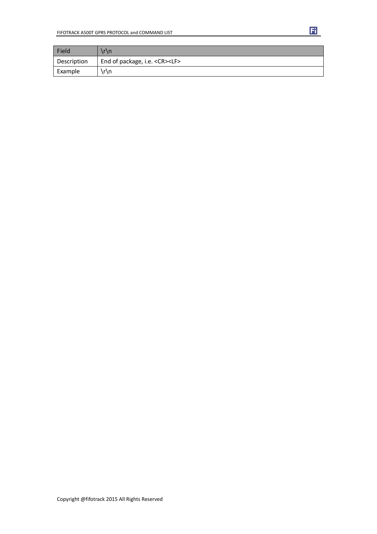| Field       | r\n                                     |
|-------------|-----------------------------------------|
| Description | End of package, i.e. <cr><lf></lf></cr> |
| Example     | r\n                                     |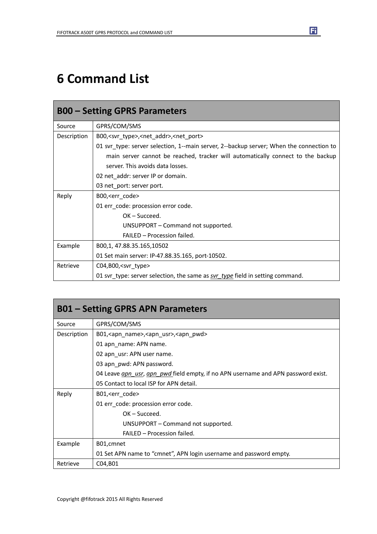# **6 Command List**

| <b>B00 - Setting GPRS Parameters</b> |                                                                                         |
|--------------------------------------|-----------------------------------------------------------------------------------------|
| Source                               | GPRS/COM/SMS                                                                            |
| Description                          | B00, <svr_type>,<net_addr>,<net_port></net_port></net_addr></svr_type>                  |
|                                      | 01 svr_type: server selection, 1--main server, 2--backup server; When the connection to |
|                                      | main server cannot be reached, tracker will automatically connect to the backup         |
|                                      | server. This avoids data losses.                                                        |
|                                      | 02 net_addr: server IP or domain.                                                       |
|                                      | 03 net_port: server port.                                                               |
| Reply                                | B00, <err code=""></err>                                                                |
|                                      | 01 err_code: procession error code.                                                     |
|                                      | $OK - Succeed.$                                                                         |
|                                      | UNSUPPORT – Command not supported.                                                      |
|                                      | FAILED - Procession failed.                                                             |
| Example                              | B00,1, 47.88.35.165,10502                                                               |
|                                      | 01 Set main server: IP-47.88.35.165, port-10502.                                        |
| Retrieve                             | $CO4, B00,$ <svr type=""></svr>                                                         |
|                                      | 01 svr_type: server selection, the same as svr_type field in setting command.           |

| <b>B01 – Setting GPRS APN Parameters</b> |                                                                                          |
|------------------------------------------|------------------------------------------------------------------------------------------|
| Source                                   | GPRS/COM/SMS                                                                             |
| Description                              | B01, <apn_name>, <apn_usr>, <apn_pwd></apn_pwd></apn_usr></apn_name>                     |
|                                          | 01 apn name: APN name.                                                                   |
|                                          | 02 apn_usr: APN user name.                                                               |
|                                          | 03 apn_pwd: APN password.                                                                |
|                                          | 04 Leave <i>apn usr, apn pwd</i> field empty, if no APN username and APN password exist. |
|                                          | 05 Contact to local ISP for APN detail.                                                  |
| Reply                                    | B01, <err code=""></err>                                                                 |
|                                          | 01 err code: procession error code.                                                      |
|                                          | $OK - Succeed.$                                                                          |
|                                          | UNSUPPORT – Command not supported.                                                       |
|                                          | FAILED - Procession failed.                                                              |
| Example                                  | B01, cmnet                                                                               |
|                                          | 01 Set APN name to "cmnet", APN login username and password empty.                       |
| Retrieve                                 | C04, B01                                                                                 |

 $\mathbf{F}$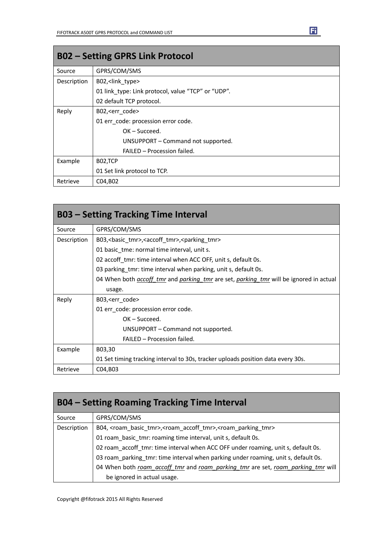| <b>B02 - Setting GPRS Link Protocol</b> |                                                    |
|-----------------------------------------|----------------------------------------------------|
| Source                                  | GPRS/COM/SMS                                       |
| Description                             | B02, <link type=""/>                               |
|                                         | 01 link type: Link protocol, value "TCP" or "UDP". |
|                                         | 02 default TCP protocol.                           |
| Reply                                   | B02, <err code=""></err>                           |
|                                         | 01 err code: procession error code.                |
|                                         | $OK - Succeed.$                                    |
|                                         | UNSUPPORT - Command not supported.                 |
|                                         | FAILED - Procession failed.                        |
| Example                                 | B02,TCP                                            |
|                                         | 01 Set link protocol to TCP.                       |
| Retrieve                                | C04, B02                                           |

| <b>B03 – Setting Tracking Time Interval</b> |                                                                                                             |
|---------------------------------------------|-------------------------------------------------------------------------------------------------------------|
| Source                                      | GPRS/COM/SMS                                                                                                |
| Description                                 | B03,<br>basic_tmr>, <accoff_tmr>,<parking_tmr></parking_tmr></accoff_tmr>                                   |
|                                             | 01 basic tme: normal time interval, unit s.                                                                 |
|                                             | 02 accoff tmr: time interval when ACC OFF, unit s, default 0s.                                              |
|                                             | 03 parking tmr: time interval when parking, unit s, default 0s.                                             |
|                                             | 04 When both <i>accoff tmr</i> and <i>parking tmr</i> are set, <i>parking tmr</i> will be ignored in actual |
|                                             | usage.                                                                                                      |
| Reply                                       | B03, <err code=""></err>                                                                                    |
|                                             | 01 err code: procession error code.                                                                         |
|                                             | $OK - Succeed.$                                                                                             |
|                                             | UNSUPPORT – Command not supported.                                                                          |
|                                             | FAILED - Procession failed.                                                                                 |
| Example                                     | B03,30                                                                                                      |
|                                             | 01 Set timing tracking interval to 30s, tracker uploads position data every 30s.                            |
| Retrieve                                    | C04, B03                                                                                                    |

| <b>B04 – Setting Roaming Tracking Time Interval</b> |                                                                                                                  |
|-----------------------------------------------------|------------------------------------------------------------------------------------------------------------------|
| Source                                              | GPRS/COM/SMS                                                                                                     |
| Description                                         | B04, <roam_basic_tmr>,<roam_accoff_tmr>,<roam_parking_tmr></roam_parking_tmr></roam_accoff_tmr></roam_basic_tmr> |
|                                                     | 01 roam_basic_tmr: roaming time interval, unit s, default 0s.                                                    |
|                                                     | 02 roam_accoff_tmr: time interval when ACC OFF under roaming, unit s, default 0s.                                |
|                                                     | 03 roam_parking_tmr: time interval when parking under roaming, unit s, default 0s.                               |
|                                                     | 04 When both roam accoff tmr and roam parking tmr are set, roam parking tmr will                                 |
|                                                     | be ignored in actual usage.                                                                                      |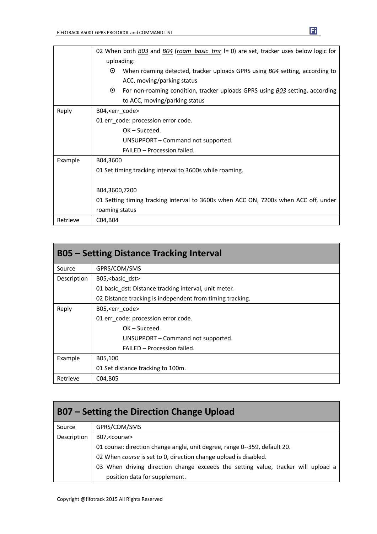|          | 02 When both $\underline{B03}$ and $\underline{B04}$ (roam basic tmr != 0) are set, tracker uses below logic for |
|----------|------------------------------------------------------------------------------------------------------------------|
|          | uploading:                                                                                                       |
|          | $\odot$<br>When roaming detected, tracker uploads GPRS using <b>BO4</b> setting, according to                    |
|          | ACC, moving/parking status                                                                                       |
|          | $\odot$<br>For non-roaming condition, tracker uploads GPRS using <b>BO3</b> setting, according                   |
|          | to ACC, moving/parking status                                                                                    |
| Reply    | B04, <err_code></err_code>                                                                                       |
|          | 01 err_code: procession error code.                                                                              |
|          | $OK - Succeed.$                                                                                                  |
|          | UNSUPPORT – Command not supported.                                                                               |
|          | FAILED - Procession failed.                                                                                      |
| Example  | B04,3600                                                                                                         |
|          | 01 Set timing tracking interval to 3600s while roaming.                                                          |
|          |                                                                                                                  |
|          | B04,3600,7200                                                                                                    |
|          | 01 Setting timing tracking interval to 3600s when ACC ON, 7200s when ACC off, under                              |
|          | roaming status                                                                                                   |
| Retrieve | C04, B04                                                                                                         |

| <b>B05 – Setting Distance Tracking Interval</b> |                                                           |
|-------------------------------------------------|-----------------------------------------------------------|
| Source                                          | GPRS/COM/SMS                                              |
| Description                                     | B05, < basic dst>                                         |
|                                                 | 01 basic dst: Distance tracking interval, unit meter.     |
|                                                 | 02 Distance tracking is independent from timing tracking. |
| Reply                                           | B05, <err code=""></err>                                  |
|                                                 | 01 err code: procession error code.                       |
|                                                 | $OK - Succeed.$                                           |
|                                                 | UNSUPPORT – Command not supported.                        |
|                                                 | FAILED - Procession failed.                               |
| Example                                         | B05,100                                                   |
|                                                 | 01 Set distance tracking to 100m.                         |
| Retrieve                                        | C04, B05                                                  |

| B07 – Setting the Direction Change Upload |                                                                                   |
|-------------------------------------------|-----------------------------------------------------------------------------------|
| Source                                    | GPRS/COM/SMS                                                                      |
| Description                               | B07, <course></course>                                                            |
|                                           | 01 course: direction change angle, unit degree, range 0--359, default 20.         |
|                                           | 02 When course is set to 0, direction change upload is disabled.                  |
|                                           | 03 When driving direction change exceeds the setting value, tracker will upload a |
|                                           | position data for supplement.                                                     |

Copyright @fifotrack 2015 All Rights Reserved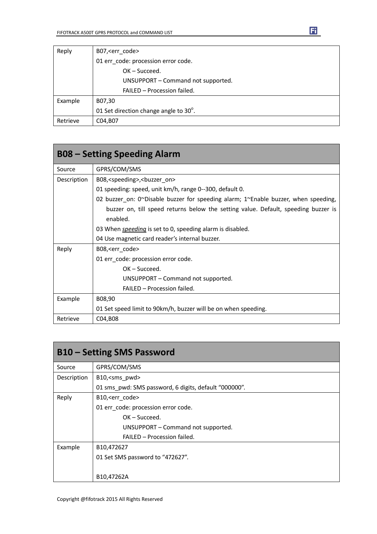| Reply    | B07, <err code=""></err>                      |
|----------|-----------------------------------------------|
|          | 01 err code: procession error code.           |
|          | $OK - Succeed.$                               |
|          | UNSUPPORT - Command not supported.            |
|          | FAILED - Procession failed.                   |
| Example  | B07,30                                        |
|          | 01 Set direction change angle to $30^\circ$ . |
| Retrieve | C04, B07                                      |

| <b>B08 – Setting Speeding Alarm</b> |                                                                                    |
|-------------------------------------|------------------------------------------------------------------------------------|
| Source                              | GPRS/COM/SMS                                                                       |
| Description                         | B08, <speeding>,<buzzer_on></buzzer_on></speeding>                                 |
|                                     | 01 speeding: speed, unit km/h, range 0--300, default 0.                            |
|                                     | 02 buzzer_on: 0~Disable buzzer for speeding alarm; 1~Enable buzzer, when speeding, |
|                                     | buzzer on, till speed returns below the setting value. Default, speeding buzzer is |
|                                     | enabled.                                                                           |
|                                     | 03 When <i>speeding</i> is set to 0, speeding alarm is disabled.                   |
|                                     | 04 Use magnetic card reader's internal buzzer.                                     |
| Reply                               | B08, <err code=""></err>                                                           |
|                                     | 01 err code: procession error code.                                                |
|                                     | $OK - Succeed.$                                                                    |
|                                     | UNSUPPORT – Command not supported.                                                 |
|                                     | <b>FAILED - Procession failed.</b>                                                 |
| Example                             | B08,90                                                                             |
|                                     | 01 Set speed limit to 90km/h, buzzer will be on when speeding.                     |
| Retrieve                            | C04,B08                                                                            |

| <b>B10 – Setting SMS Password</b> |                                                       |
|-----------------------------------|-------------------------------------------------------|
| Source                            | GPRS/COM/SMS                                          |
| Description                       | B10, <sms pwd=""></sms>                               |
|                                   | 01 sms pwd: SMS password, 6 digits, default "000000". |
| Reply                             | B10, <err code=""></err>                              |
|                                   | 01 err code: procession error code.                   |
|                                   | $OK - Succeed.$                                       |
|                                   | UNSUPPORT - Command not supported.                    |
|                                   | FAILED - Procession failed.                           |
| Example                           | B10,472627                                            |
|                                   | 01 Set SMS password to "472627".                      |
|                                   |                                                       |
|                                   | B10,47262A                                            |

圃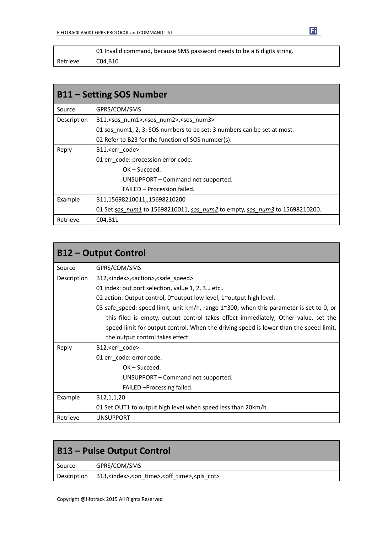|          | 01 Invalid command, because SMS password needs to be a 6 digits string. |
|----------|-------------------------------------------------------------------------|
| Retrieve | C04.B10                                                                 |

| <b>B11 - Setting SOS Number</b> |                                                                             |
|---------------------------------|-----------------------------------------------------------------------------|
| Source                          | GPRS/COM/SMS                                                                |
| Description                     | B11, <sos_num1>,<sos_num2>,<sos_num3></sos_num3></sos_num2></sos_num1>      |
|                                 | 01 sos num1, 2, 3: SOS numbers to be set; 3 numbers can be set at most.     |
|                                 | 02 Refer to B23 for the function of SOS number(s).                          |
| Reply                           | B11, <err code=""></err>                                                    |
|                                 | 01 err code: procession error code.                                         |
|                                 | $OK - Succeed.$                                                             |
|                                 | UNSUPPORT - Command not supported.                                          |
|                                 | <b>FAILFD – Procession failed.</b>                                          |
| Example                         | B11,15698210011,,15698210200                                                |
|                                 | 01 Set sos num1 to 15698210011, sos num2 to empty, sos num3 to 15698210200. |
| Retrieve                        | C04, B11                                                                    |

| <b>B12 – Output Control</b> |                                                                                         |
|-----------------------------|-----------------------------------------------------------------------------------------|
| Source                      | GPRS/COM/SMS                                                                            |
| Description                 | B12, <index>,<action>,<safe_speed></safe_speed></action></index>                        |
|                             | 01 index: out port selection, value 1, 2, 3 etc                                         |
|                             | 02 action: Output control, $0^{\sim}$ output low level, 1 $^{\sim}$ output high level.  |
|                             | 03 safe_speed: speed limit, unit km/h, range 1~300; when this parameter is set to 0, or |
|                             | this filed is empty, output control takes effect immediately; Other value, set the      |
|                             | speed limit for output control. When the driving speed is lower than the speed limit,   |
|                             | the output control takes effect.                                                        |
| Reply                       | B12, <err code=""></err>                                                                |
|                             | 01 err code: error code.                                                                |
|                             | $OK - Succeed.$                                                                         |
|                             | UNSUPPORT – Command not supported.                                                      |
|                             | FAILED - Processing failed.                                                             |
| Example                     | B12,1,1,20                                                                              |
|                             | 01 Set OUT1 to output high level when speed less than 20km/h.                           |
| Retrieve                    | <b>UNSUPPORT</b>                                                                        |

| <b>B13 - Pulse Output Control</b> |                                                                                    |
|-----------------------------------|------------------------------------------------------------------------------------|
| Source                            | GPRS/COM/SMS                                                                       |
| Description                       | B13, <index>,<on_time>,<off_time>,<pls_cnt></pls_cnt></off_time></on_time></index> |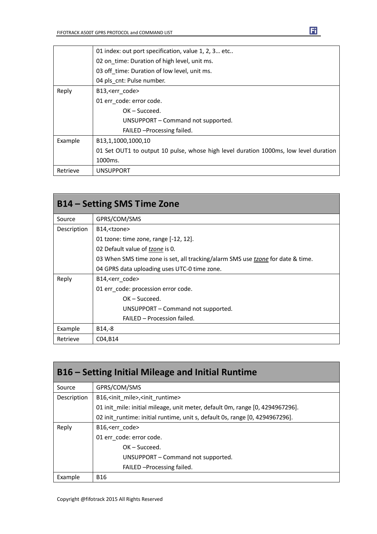|          | 01 index: out port specification, value 1, 2, 3 etc                                  |
|----------|--------------------------------------------------------------------------------------|
|          | 02 on time: Duration of high level, unit ms.                                         |
|          | 03 off time: Duration of low level, unit ms.                                         |
|          | 04 pls cnt: Pulse number.                                                            |
| Reply    | B13, <err_code></err_code>                                                           |
|          | 01 err code: error code.                                                             |
|          | $OK - Succeed.$                                                                      |
|          | UNSUPPORT – Command not supported.                                                   |
|          | FAILED - Processing failed.                                                          |
| Example  | B13,1,1000,1000,10                                                                   |
|          | 01 Set OUT1 to output 10 pulse, whose high level duration 1000ms, low level duration |
|          | 1000 <sub>ms</sub> .                                                                 |
| Retrieve | <b>UNSUPPORT</b>                                                                     |

| B14 – Setting SMS Time Zone |                                                                                 |
|-----------------------------|---------------------------------------------------------------------------------|
| Source                      | GPRS/COM/SMS                                                                    |
| Description                 | B14, <tzone></tzone>                                                            |
|                             | 01 tzone: time zone, range $[-12, 12]$ .                                        |
|                             | 02 Default value of tzone is 0.                                                 |
|                             | 03 When SMS time zone is set, all tracking/alarm SMS use tzone for date & time. |
|                             | 04 GPRS data uploading uses UTC-0 time zone.                                    |
| Reply                       | B14, <err_code></err_code>                                                      |
|                             | 01 err code: procession error code.                                             |
|                             | $OK - Succeed.$                                                                 |
|                             | UNSUPPORT – Command not supported.                                              |
|                             | FAILED - Procession failed.                                                     |
| Example                     | B14,-8                                                                          |
| Retrieve                    | C04, B14                                                                        |

| B16 - Setting Initial Mileage and Initial Runtime |                                                                               |
|---------------------------------------------------|-------------------------------------------------------------------------------|
| Source                                            | GPRS/COM/SMS                                                                  |
| Description                                       | B16, <init mile="">,<init runtime=""></init></init>                           |
|                                                   | 01 init mile: initial mileage, unit meter, default 0m, range [0, 4294967296]. |
|                                                   | 02 init runtime: initial runtime, unit s, default 0s, range [0, 4294967296].  |
| Reply                                             | B16, <err code=""></err>                                                      |
|                                                   | 01 err code: error code.                                                      |
|                                                   | $OK - Succeed.$                                                               |
|                                                   | UNSUPPORT – Command not supported.                                            |
|                                                   | FAILED - Processing failed.                                                   |
| Example                                           | <b>B16</b>                                                                    |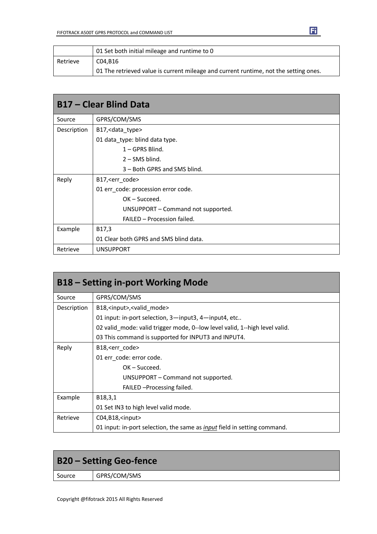|          | 01 Set both initial mileage and runtime to 0                                         |
|----------|--------------------------------------------------------------------------------------|
| Retrieve | C04.B16                                                                              |
|          | 01 The retrieved value is current mileage and current runtime, not the setting ones. |

| <b>B17 - Clear Blind Data</b> |                                        |
|-------------------------------|----------------------------------------|
| Source                        | GPRS/COM/SMS                           |
| Description                   | B17, < data_type>                      |
|                               | 01 data_type: blind data type.         |
|                               | $1 - GPRS$ Blind.                      |
|                               | $2 -$ SMS blind.                       |
|                               | 3 – Both GPRS and SMS blind.           |
| Reply                         | B17, <err_code></err_code>             |
|                               | 01 err_code: procession error code.    |
|                               | $OK - Succeed.$                        |
|                               | UNSUPPORT - Command not supported.     |
|                               | FAILED - Procession failed.            |
| Example                       | B17,3                                  |
|                               | 01 Clear both GPRS and SMS blind data. |
| Retrieve                      | <b>UNSUPPORT</b>                       |

| <b>B18 – Setting in-port Working Mode</b> |                                                                                 |
|-------------------------------------------|---------------------------------------------------------------------------------|
| Source                                    | GPRS/COM/SMS                                                                    |
| Description                               | B18, <input/> , <valid mode=""></valid>                                         |
|                                           | 01 input: in-port selection, $3$ —input $3$ , $4$ —input $4$ , etc              |
|                                           | 02 valid mode: valid trigger mode, 0--low level valid, 1--high level valid.     |
|                                           | 03 This command is supported for INPUT3 and INPUT4.                             |
| Reply                                     | B18, < err code >                                                               |
|                                           | 01 err code: error code.                                                        |
|                                           | $OK - Succeed.$                                                                 |
|                                           | UNSUPPORT – Command not supported.                                              |
|                                           | FAILED - Processing failed.                                                     |
| Example                                   | B <sub>18</sub> , 3, 1                                                          |
|                                           | 01 Set IN3 to high level valid mode.                                            |
| Retrieve                                  | $CO4, B18,$ $\leq$ input $\geq$                                                 |
|                                           | 01 input: in-port selection, the same as <i>input</i> field in setting command. |

| <b>B20 - Setting Geo-fence</b> |              |
|--------------------------------|--------------|
| Source                         | GPRS/COM/SMS |
|                                |              |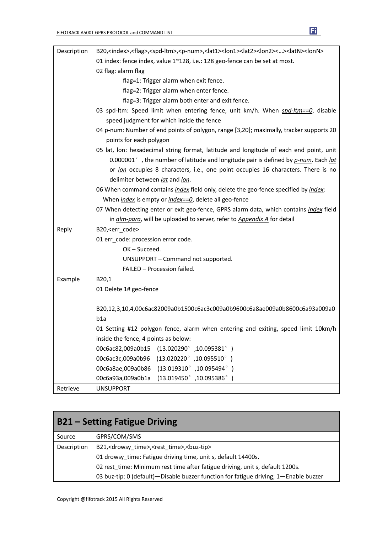| Description | B20, <index>,<flag>,<spd-ltm>,<p-num>,<lat1><lon1><lat2><lon2>&lt;&gt;<latn><lonn></lonn></latn></lon2></lat2></lon1></lat1></p-num></spd-ltm></flag></index> |
|-------------|---------------------------------------------------------------------------------------------------------------------------------------------------------------|
|             | 01 index: fence index, value 1~128, i.e.: 128 geo-fence can be set at most.                                                                                   |
|             | 02 flag: alarm flag                                                                                                                                           |
|             | flag=1: Trigger alarm when exit fence.                                                                                                                        |
|             | flag=2: Trigger alarm when enter fence.                                                                                                                       |
|             | flag=3: Trigger alarm both enter and exit fence.                                                                                                              |
|             | 03 spd-ltm: Speed limit when entering fence, unit km/h. When spd-ltm==0, disable                                                                              |
|             | speed judgment for which inside the fence                                                                                                                     |
|             | 04 p-num: Number of end points of polygon, range [3,20]; maximally, tracker supports 20                                                                       |
|             | points for each polygon                                                                                                                                       |
|             | 05 lat, lon: hexadecimal string format, latitude and longitude of each end point, unit                                                                        |
|             | 0.000001°, the number of latitude and longitude pair is defined by p-num. Each lat                                                                            |
|             | or lon occupies 8 characters, i.e., one point occupies 16 characters. There is no                                                                             |
|             | delimiter between lat and lon.                                                                                                                                |
|             | 06 When command contains index field only, delete the geo-fence specified by index;                                                                           |
|             | When <i>index</i> is empty or <i>index==0</i> , delete all geo-fence                                                                                          |
|             | 07 When detecting enter or exit geo-fence, GPRS alarm data, which contains <i>index</i> field                                                                 |
|             | in <i>alm-para</i> , will be uploaded to server, refer to <i>Appendix A</i> for detail                                                                        |
| Reply       | B20, <err code=""></err>                                                                                                                                      |
|             | 01 err_code: procession error code.                                                                                                                           |
|             | OK-Succeed.                                                                                                                                                   |
|             | UNSUPPORT - Command not supported.                                                                                                                            |
|             | FAILED - Procession failed.                                                                                                                                   |
| Example     | B20,1                                                                                                                                                         |
|             | 01 Delete 1# geo-fence                                                                                                                                        |
|             |                                                                                                                                                               |
|             | B20,12,3,10,4,00c6ac82009a0b1500c6ac3c009a0b9600c6a8ae009a0b8600c6a93a009a0                                                                                   |
|             | b1a                                                                                                                                                           |
|             | 01 Setting #12 polygon fence, alarm when entering and exiting, speed limit 10km/h                                                                             |
|             | inside the fence, 4 points as below:                                                                                                                          |
|             | $(13.020290^{\circ}, 10.095381^{\circ})$<br>00c6ac82,009a0b15                                                                                                 |
|             | $(13.020220^{\circ}, 10.095510^{\circ})$<br>00c6ac3c,009a0b96                                                                                                 |
|             | $(13.019310^{\circ} ,10.095494^{\circ})$<br>00c6a8ae,009a0b86                                                                                                 |
|             | $(13.019450^{\circ} ,10.095386^{\circ})$<br>00c6a93a,009a0b1a                                                                                                 |
| Retrieve    | <b>UNSUPPORT</b>                                                                                                                                              |

| <b>B21 – Setting Fatigue Driving</b> |                                                                                      |
|--------------------------------------|--------------------------------------------------------------------------------------|
| Source                               | GPRS/COM/SMS                                                                         |
| Description                          | B21, <drowsy_time>,<rest_time>,<br/><br/>st_tip&gt;</rest_time></drowsy_time>        |
|                                      | 01 drowsy_time: Fatigue driving time, unit s, default 14400s.                        |
|                                      | 02 rest time: Minimum rest time after fatigue driving, unit s, default 1200s.        |
|                                      | 03 buz-tip: 0 (default)-Disable buzzer function for fatigue driving; 1-Enable buzzer |

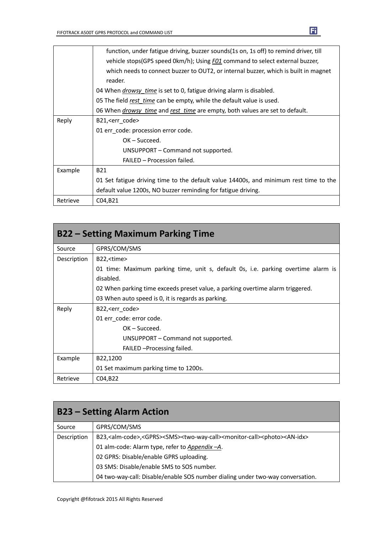|          | function, under fatigue driving, buzzer sounds (1s on, 1s off) to remind driver, till      |
|----------|--------------------------------------------------------------------------------------------|
|          | vehicle stops(GPS speed 0km/h); Using F01 command to select external buzzer,               |
|          | which needs to connect buzzer to OUT2, or internal buzzer, which is built in magnet        |
|          | reader.                                                                                    |
|          | 04 When <i>drowsy</i> time is set to 0, fatigue driving alarm is disabled.                 |
|          | 05 The field rest_time can be empty, while the default value is used.                      |
|          | 06 When <i>drowsy_time</i> and <i>rest_time</i> are empty, both values are set to default. |
| Reply    | B21, <err_code></err_code>                                                                 |
|          | 01 err code: procession error code.                                                        |
|          | $OK - Succeed.$                                                                            |
|          | UNSUPPORT – Command not supported.                                                         |
|          | FAILED - Procession failed.                                                                |
| Example  | <b>B21</b>                                                                                 |
|          | 01 Set fatigue driving time to the default value 14400s, and minimum rest time to the      |
|          | default value 1200s, NO buzzer reminding for fatigue driving.                              |
| Retrieve | C04, B21                                                                                   |

| <b>B22 – Setting Maximum Parking Time</b> |                                                                                   |
|-------------------------------------------|-----------------------------------------------------------------------------------|
| Source                                    | GPRS/COM/SMS                                                                      |
| Description                               | B22, <time></time>                                                                |
|                                           | 01 time: Maximum parking time, unit s, default 0s, i.e. parking overtime alarm is |
|                                           | disabled.                                                                         |
|                                           | 02 When parking time exceeds preset value, a parking overtime alarm triggered.    |
|                                           | 03 When auto speed is 0, it is regards as parking.                                |
| Reply                                     | B22, <err_code></err_code>                                                        |
|                                           | 01 err code: error code.                                                          |
|                                           | $OK - Succeed.$                                                                   |
|                                           | UNSUPPORT – Command not supported.                                                |
|                                           | FAILED - Processing failed.                                                       |
| Example                                   | B22,1200                                                                          |
|                                           | 01 Set maximum parking time to 1200s.                                             |
| Retrieve                                  | C04, B22                                                                          |

| <b>B23 – Setting Alarm Action</b> |                                                                                                                                               |
|-----------------------------------|-----------------------------------------------------------------------------------------------------------------------------------------------|
| Source                            | GPRS/COM/SMS                                                                                                                                  |
| Description                       | B23, <alm-code>,<gprs><sms><two-way-call><monitor-call><photo><an-idx></an-idx></photo></monitor-call></two-way-call></sms></gprs></alm-code> |
|                                   | 01 alm-code: Alarm type, refer to Appendix -A.                                                                                                |
|                                   | 02 GPRS: Disable/enable GPRS uploading.                                                                                                       |
|                                   | 03 SMS: Disable/enable SMS to SOS number.                                                                                                     |
|                                   | 04 two-way-call: Disable/enable SOS number dialing under two-way conversation.                                                                |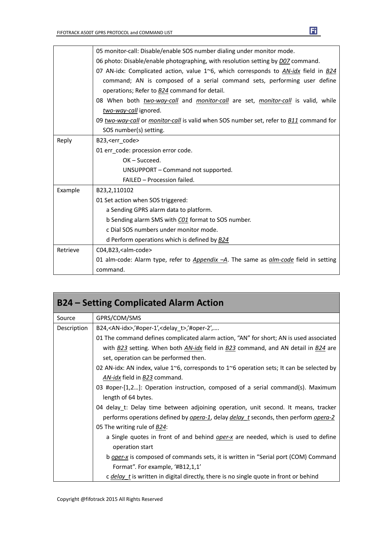|          | 05 monitor-call: Disable/enable SOS number dialing under monitor mode.                              |
|----------|-----------------------------------------------------------------------------------------------------|
|          | 06 photo: Disable/enable photographing, with resolution setting by D07 command.                     |
|          | 07 AN-idx: Complicated action, value 1~6, which corresponds to $AN$ -idx field in B24               |
|          | command; AN is composed of a serial command sets, performing user define                            |
|          | operations; Refer to <b>B24</b> command for detail.                                                 |
|          | 08 When both two-way-call and monitor-call are set, monitor-call is valid, while                    |
|          | two-way-call ignored.                                                                               |
|          | 09 two-way-call or monitor-call is valid when SOS number set, refer to <b>B11</b> command for       |
|          | SOS number(s) setting.                                                                              |
| Reply    | B23, <err code=""></err>                                                                            |
|          | 01 err code: procession error code.                                                                 |
|          | $OK - Succeed.$                                                                                     |
|          | UNSUPPORT - Command not supported.                                                                  |
|          | FAILED - Procession failed.                                                                         |
| Example  | B23,2,110102                                                                                        |
|          | 01 Set action when SOS triggered:                                                                   |
|          | a Sending GPRS alarm data to platform.                                                              |
|          | b Sending alarm SMS with CO1 format to SOS number.                                                  |
|          | c Dial SOS numbers under monitor mode.                                                              |
|          | d Perform operations which is defined by <b>B24</b>                                                 |
| Retrieve | C04,B23, <alm-code></alm-code>                                                                      |
|          | 01 alm-code: Alarm type, refer to <i>Appendix -A</i> . The same as <i>alm-code</i> field in setting |
|          | command.                                                                                            |

| <b>B24 – Setting Complicated Alarm Action</b> |                                                                                                             |  |
|-----------------------------------------------|-------------------------------------------------------------------------------------------------------------|--|
| Source                                        | GPRS/COM/SMS                                                                                                |  |
| Description                                   | B24, <an-idx>,'#oper-1',<delay t="">,'#oper-2',</delay></an-idx>                                            |  |
|                                               | 01 The command defines complicated alarm action, "AN" for short; AN is used associated                      |  |
|                                               | with B23 setting. When both AN-idx field in B23 command, and AN detail in B24 are                           |  |
|                                               | set, operation can be performed then.                                                                       |  |
|                                               | 02 AN-idx: AN index, value $1^{\circ}6$ , corresponds to $1^{\circ}6$ operation sets; It can be selected by |  |
|                                               | AN-idx field in B23 command.                                                                                |  |
|                                               | 03 #oper-[1,2]: Operation instruction, composed of a serial command(s). Maximum                             |  |
|                                               | length of 64 bytes.                                                                                         |  |
|                                               | 04 delay_t: Delay time between adjoining operation, unit second. It means, tracker                          |  |
|                                               | performs operations defined by <u>opera-1</u> , delay <i>delay</i> t seconds, then perform <i>opera-2</i>   |  |
|                                               | 05 The writing rule of <b>B24</b> :                                                                         |  |
|                                               | a Single quotes in front of and behind <i>oper-x</i> are needed, which is used to define                    |  |
|                                               | operation start                                                                                             |  |
|                                               | b <i>oper-x</i> is composed of commands sets, it is written in "Serial port (COM) Command                   |  |
|                                               | Format". For example, '#B12,1,1'                                                                            |  |
|                                               | c delay t is written in digital directly, there is no single quote in front or behind                       |  |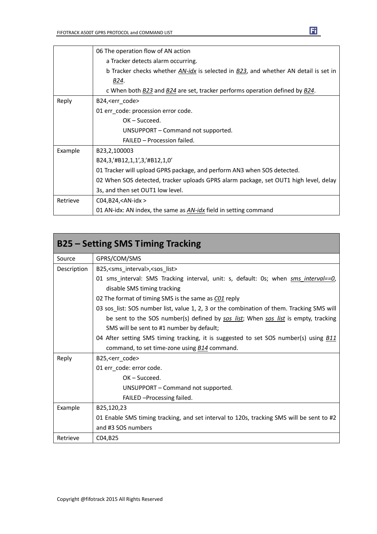|          | 06 The operation flow of AN action                                                   |
|----------|--------------------------------------------------------------------------------------|
|          | a Tracker detects alarm occurring.                                                   |
|          | b Tracker checks whether AN-idx is selected in B23, and whether AN detail is set in  |
|          | B24.                                                                                 |
|          | c When both $B23$ and $B24$ are set, tracker performs operation defined by $B24$ .   |
| Reply    | B24, <err_code></err_code>                                                           |
|          | 01 err_code: procession error code.                                                  |
|          | OK – Succeed.                                                                        |
|          | UNSUPPORT – Command not supported.                                                   |
|          | FAILED - Procession failed.                                                          |
| Example  | B23,2,100003                                                                         |
|          | B24,3,'#B12,1,1',3,'#B12,1,0'                                                        |
|          | 01 Tracker will upload GPRS package, and perform AN3 when SOS detected.              |
|          | 02 When SOS detected, tracker uploads GPRS alarm package, set OUT1 high level, delay |
|          | 3s, and then set OUT1 low level.                                                     |
| Retrieve | $CO4, B24, < AN-idx$                                                                 |
|          | 01 AN-idx: AN index, the same as AN-idx field in setting command                     |

| <b>B25 - Setting SMS Timing Tracking</b> |                                                                                             |
|------------------------------------------|---------------------------------------------------------------------------------------------|
| Source                                   | GPRS/COM/SMS                                                                                |
| Description                              | B25, <sms_interval>,<sos_list></sos_list></sms_interval>                                    |
|                                          | 01 sms_interval: SMS Tracking interval, unit: s, default: 0s; when sms interval==0,         |
|                                          | disable SMS timing tracking                                                                 |
|                                          | 02 The format of timing SMS is the same as C01 reply                                        |
|                                          | 03 sos_list: SOS number list, value 1, 2, 3 or the combination of them. Tracking SMS will   |
|                                          | be sent to the SOS number(s) defined by sos list; When sos list is empty, tracking          |
|                                          | SMS will be sent to #1 number by default;                                                   |
|                                          | 04 After setting SMS timing tracking, it is suggested to set SOS number(s) using <b>B11</b> |
|                                          | command, to set time-zone using <b>B14</b> command.                                         |
| Reply                                    | B25, <err_code></err_code>                                                                  |
|                                          | 01 err_code: error code.                                                                    |
|                                          | $OK - Succeed.$                                                                             |
|                                          | UNSUPPORT - Command not supported.                                                          |
|                                          | FAILED - Processing failed.                                                                 |
| Example                                  | B25,120,23                                                                                  |
|                                          | 01 Enable SMS timing tracking, and set interval to 120s, tracking SMS will be sent to #2    |
|                                          | and #3 SOS numbers                                                                          |
| Retrieve                                 | C04, B25                                                                                    |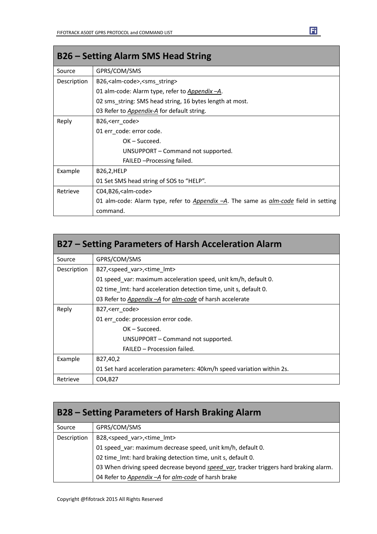| B26 – Setting Alarm SMS Head String |                                                                                             |
|-------------------------------------|---------------------------------------------------------------------------------------------|
| Source                              | GPRS/COM/SMS                                                                                |
| Description                         | B26, <alm-code>,<sms_string></sms_string></alm-code>                                        |
|                                     | 01 alm-code: Alarm type, refer to Appendix -A.                                              |
|                                     | 02 sms string: SMS head string, 16 bytes length at most.                                    |
|                                     | 03 Refer to <i>Appendix-A</i> for default string.                                           |
| Reply                               | B26, <err_code></err_code>                                                                  |
|                                     | 01 err_code: error code.                                                                    |
|                                     | $OK - Succeed.$                                                                             |
|                                     | UNSUPPORT – Command not supported.                                                          |
|                                     | FAILED - Processing failed.                                                                 |
| Example                             | <b>B26,2,HELP</b>                                                                           |
|                                     | 01 Set SMS head string of SOS to "HELP".                                                    |
| Retrieve                            | $CO4, B26,$ calm-code>                                                                      |
|                                     | 01 alm-code: Alarm type, refer to Appendix -A. The same as <i>glm-code</i> field in setting |
|                                     | command.                                                                                    |

| <b>B27 - Setting Parameters of Harsh Acceleration Alarm</b> |                                                                        |
|-------------------------------------------------------------|------------------------------------------------------------------------|
| Source                                                      | GPRS/COM/SMS                                                           |
| Description                                                 | B27, <speed var="">, <time lmt=""></time></speed>                      |
|                                                             | 01 speed var: maximum acceleration speed, unit km/h, default 0.        |
|                                                             | 02 time Imt: hard acceleration detection time, unit s, default 0.      |
|                                                             | 03 Refer to <i>Appendix -A</i> for <i>alm-code</i> of harsh accelerate |
| Reply                                                       | B27, < err code >                                                      |
|                                                             | 01 err_code: procession error code.                                    |
|                                                             | $OK - Succeed.$                                                        |
|                                                             | UNSUPPORT – Command not supported.                                     |
|                                                             | FAILED - Procession failed.                                            |
| Example                                                     | B27,40,2                                                               |
|                                                             | 01 Set hard acceleration parameters: 40km/h speed variation within 2s. |
| Retrieve                                                    | C04, B27                                                               |

| B28 – Setting Parameters of Harsh Braking Alarm |                                                                                       |
|-------------------------------------------------|---------------------------------------------------------------------------------------|
| Source                                          | GPRS/COM/SMS                                                                          |
| Description                                     | B28, <speed var="">,<time lmt=""></time></speed>                                      |
|                                                 | 01 speed var: maximum decrease speed, unit km/h, default 0.                           |
|                                                 | 02 time_lmt: hard braking detection time, unit s, default 0.                          |
|                                                 | 03 When driving speed decrease beyond speed var, tracker triggers hard braking alarm. |
|                                                 | 04 Refer to Appendix - A for alm-code of harsh brake                                  |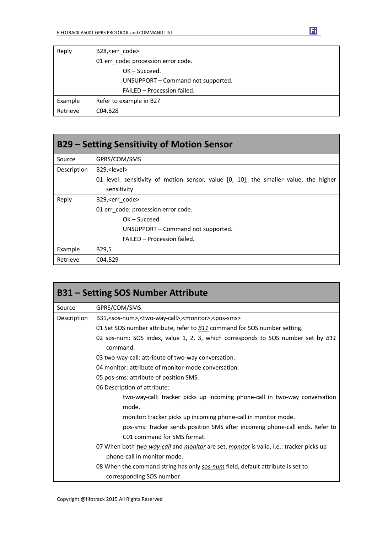| Reply    | B28, <err code=""></err>            |
|----------|-------------------------------------|
|          | 01 err code: procession error code. |
|          | $OK - Succeed.$                     |
|          | UNSUPPORT - Command not supported.  |
|          | FAILED - Procession failed.         |
| Example  | Refer to example in B27             |
| Retrieve | C04, B28                            |

| B29 – Setting Sensitivity of Motion Sensor |                                                                                      |
|--------------------------------------------|--------------------------------------------------------------------------------------|
| Source                                     | GPRS/COM/SMS                                                                         |
| Description                                | B29, <level></level>                                                                 |
|                                            | 01 level: sensitivity of motion sensor, value [0, 10]; the smaller value, the higher |
|                                            | sensitivity                                                                          |
| Reply                                      | B29, <err code=""></err>                                                             |
|                                            | 01 err code: procession error code.                                                  |
|                                            | $OK - Succeed.$                                                                      |
|                                            | UNSUPPORT – Command not supported.                                                   |
|                                            | FAILED - Procession failed.                                                          |
| Example                                    | B29,5                                                                                |
| Retrieve                                   | C04,B29                                                                              |

|             | <b>B31 - Setting SOS Number Attribute</b>                                                           |
|-------------|-----------------------------------------------------------------------------------------------------|
| Source      | GPRS/COM/SMS                                                                                        |
| Description | B31, <sos-num>,<two-way-call>,<monitor>,<pos-sms></pos-sms></monitor></two-way-call></sos-num>      |
|             | 01 Set SOS number attribute, refer to B11 command for SOS number setting.                           |
|             | 02 sos-num: SOS index, value 1, 2, 3, which corresponds to SOS number set by <b>B11</b><br>command. |
|             | 03 two-way-call: attribute of two-way conversation.                                                 |
|             | 04 monitor: attribute of monitor-mode conversation.                                                 |
|             | 05 pos-sms: attribute of position SMS.                                                              |
|             | 06 Description of attribute:                                                                        |
|             | two-way-call: tracker picks up incoming phone-call in two-way conversation<br>mode.                 |
|             | monitor: tracker picks up incoming phone-call in monitor mode.                                      |
|             | pos-sms: Tracker sends position SMS after incoming phone-call ends. Refer to                        |
|             | C01 command for SMS format.                                                                         |
|             | 07 When both two-way-call and monitor are set, monitor is valid, i.e.: tracker picks up             |
|             | phone-call in monitor mode.                                                                         |
|             | 08 When the command string has only sos-num field, default attribute is set to                      |
|             | corresponding SOS number.                                                                           |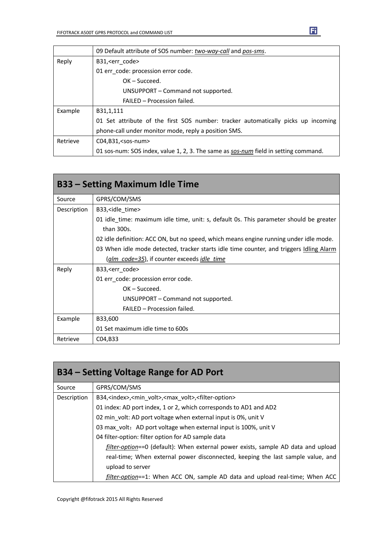|          | 09 Default attribute of SOS number: two-way-call and pos-sms.                       |
|----------|-------------------------------------------------------------------------------------|
| Reply    | B31, <err code=""></err>                                                            |
|          | 01 err_code: procession error code.                                                 |
|          | OK – Succeed.                                                                       |
|          | UNSUPPORT – Command not supported.                                                  |
|          | FAILED - Procession failed.                                                         |
| Example  | B31,1,111                                                                           |
|          | 01 Set attribute of the first SOS number: tracker automatically picks up incoming   |
|          | phone-call under monitor mode, reply a position SMS.                                |
| Retrieve | $CO4, B31, <$ sos-num $>$                                                           |
|          | 01 sos-num: SOS index, value 1, 2, 3. The same as sos-num field in setting command. |

| <b>B33 – Setting Maximum Idle Time</b> |                                                                                         |  |
|----------------------------------------|-----------------------------------------------------------------------------------------|--|
| Source                                 | GPRS/COM/SMS                                                                            |  |
| Description                            | B33, sidle time                                                                         |  |
|                                        | 01 idle_time: maximum idle time, unit: s, default 0s. This parameter should be greater  |  |
|                                        | than 300s.                                                                              |  |
|                                        | 02 idle definition: ACC ON, but no speed, which means engine running under idle mode.   |  |
|                                        | 03 When idle mode detected, tracker starts idle time counter, and triggers Idling Alarm |  |
|                                        | (alm code=35), if counter exceeds <i>idle time</i>                                      |  |
| Reply                                  | B33, <err_code></err_code>                                                              |  |
|                                        | 01 err_code: procession error code.                                                     |  |
|                                        | $OK - Succeed.$                                                                         |  |
|                                        | UNSUPPORT – Command not supported.                                                      |  |
|                                        | FAILED - Procession failed.                                                             |  |
| Example                                | B33,600                                                                                 |  |
|                                        | 01 Set maximum idle time to 600s                                                        |  |
| Retrieve                               | C04, B33                                                                                |  |

| <b>B34 - Setting Voltage Range for AD Port</b> |                                                                                                 |  |
|------------------------------------------------|-------------------------------------------------------------------------------------------------|--|
| Source                                         | GPRS/COM/SMS                                                                                    |  |
| Description                                    | B34, <index>, <min volt="">, <max volt="">, <filter-option></filter-option></max></min></index> |  |
|                                                | 01 index: AD port index, 1 or 2, which corresponds to AD1 and AD2                               |  |
|                                                | 02 min_volt: AD port voltage when external input is 0%, unit V                                  |  |
|                                                | 03 max volt: AD port voltage when external input is 100%, unit V                                |  |
|                                                | 04 filter-option: filter option for AD sample data                                              |  |
|                                                | filter-option==0 (default): When external power exists, sample AD data and upload               |  |
|                                                | real-time; When external power disconnected, keeping the last sample value, and                 |  |
|                                                | upload to server                                                                                |  |
|                                                | filter-option==1: When ACC ON, sample AD data and upload real-time; When ACC                    |  |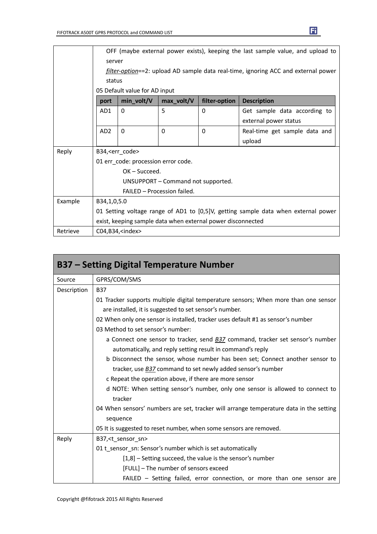|          |                                                                                    | OFF (maybe external power exists), keeping the last sample value, and upload to |                             |               |                               |
|----------|------------------------------------------------------------------------------------|---------------------------------------------------------------------------------|-----------------------------|---------------|-------------------------------|
|          | server                                                                             |                                                                                 |                             |               |                               |
|          | filter-option==2: upload AD sample data real-time, ignoring ACC and external power |                                                                                 |                             |               |                               |
|          | status                                                                             |                                                                                 |                             |               |                               |
|          |                                                                                    | 05 Default value for AD input                                                   |                             |               |                               |
|          | port                                                                               | min_volt/V                                                                      | max_volt/V                  | filter-option | <b>Description</b>            |
|          | AD1                                                                                | 0                                                                               | 5                           | $\mathbf{0}$  | Get sample data according to  |
|          |                                                                                    |                                                                                 |                             |               | external power status         |
|          | AD <sub>2</sub>                                                                    | $\Omega$                                                                        | $\Omega$                    | $\mathbf{0}$  | Real-time get sample data and |
|          |                                                                                    |                                                                                 |                             |               | upload                        |
| Reply    | B34, <err_code></err_code>                                                         |                                                                                 |                             |               |                               |
|          | 01 err_code: procession error code.                                                |                                                                                 |                             |               |                               |
|          | $OK - Succeed.$                                                                    |                                                                                 |                             |               |                               |
|          | UNSUPPORT - Command not supported.                                                 |                                                                                 |                             |               |                               |
|          |                                                                                    |                                                                                 | FAILED - Procession failed. |               |                               |
| Example  | B34,1,0,5.0                                                                        |                                                                                 |                             |               |                               |
|          | 01 Setting voltage range of AD1 to [0,5]V, getting sample data when external power |                                                                                 |                             |               |                               |
|          |                                                                                    | exist, keeping sample data when external power disconnected                     |                             |               |                               |
| Retrieve | C04,B34, <index></index>                                                           |                                                                                 |                             |               |                               |

|             | <b>B37 - Setting Digital Temperature Number</b>                                        |
|-------------|----------------------------------------------------------------------------------------|
| Source      | GPRS/COM/SMS                                                                           |
| Description | B37                                                                                    |
|             | 01 Tracker supports multiple digital temperature sensors; When more than one sensor    |
|             | are installed, it is suggested to set sensor's number.                                 |
|             | 02 When only one sensor is installed, tracker uses default #1 as sensor's number       |
|             | 03 Method to set sensor's number:                                                      |
|             | a Connect one sensor to tracker, send <b>B37</b> command, tracker set sensor's number  |
|             | automatically, and reply setting result in command's reply                             |
|             | b Disconnect the sensor, whose number has been set; Connect another sensor to          |
|             | tracker, use <b>B37</b> command to set newly added sensor's number                     |
|             | c Repeat the operation above, if there are more sensor                                 |
|             | d NOTE: When setting sensor's number, only one sensor is allowed to connect to         |
|             | tracker                                                                                |
|             | 04 When sensors' numbers are set, tracker will arrange temperature data in the setting |
|             | sequence                                                                               |
|             | 05 It is suggested to reset number, when some sensors are removed.                     |
| Reply       | B37, <t sensor="" sn=""></t>                                                           |
|             | 01 t_sensor_sn: Sensor's number which is set automatically                             |
|             | $[1,8]$ – Setting succeed, the value is the sensor's number                            |
|             | [FULL] - The number of sensors exceed                                                  |
|             | FAILED - Setting failed, error connection, or more than one sensor are                 |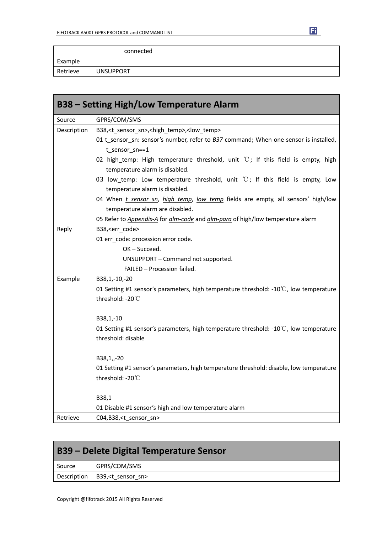|          | connected        |
|----------|------------------|
| Example  |                  |
| Retrieve | <b>UNSUPPORT</b> |

|             | <b>B38 - Setting High/Low Temperature Alarm</b>                                                     |
|-------------|-----------------------------------------------------------------------------------------------------|
| Source      | GPRS/COM/SMS                                                                                        |
| Description | B38, <t_sensor_sn>,<high_temp>,<low_temp></low_temp></high_temp></t_sensor_sn>                      |
|             | 01 t_sensor_sn: sensor's number, refer to B37 command; When one sensor is installed,                |
|             | t_sensor_sn==1                                                                                      |
|             | 02 high_temp: High temperature threshold, unit $\degree$ C; If this field is empty, high            |
|             | temperature alarm is disabled.                                                                      |
|             | 03 low_temp: Low temperature threshold, unit $\degree$ C; If this field is empty, Low               |
|             | temperature alarm is disabled.                                                                      |
|             | 04 When t sensor sn, high temp, low temp fields are empty, all sensors' high/low                    |
|             | temperature alarm are disabled.                                                                     |
|             | 05 Refer to <i>Appendix-A</i> for <i>alm-code</i> and <i>alm-para</i> of high/low temperature alarm |
| Reply       | B38, <err code=""></err>                                                                            |
|             | 01 err_code: procession error code.                                                                 |
|             | OK-Succeed.                                                                                         |
|             | UNSUPPORT - Command not supported.                                                                  |
|             | FAILED - Procession failed.                                                                         |
| Example     | B38,1,-10,-20                                                                                       |
|             | 01 Setting #1 sensor's parameters, high temperature threshold: - $10^{\circ}$ C, low temperature    |
|             | threshold: -20°C                                                                                    |
|             | B38,1,-10                                                                                           |
|             | 01 Setting #1 sensor's parameters, high temperature threshold: - $10^{\circ}$ C, low temperature    |
|             | threshold: disable                                                                                  |
|             | B38,1,,-20                                                                                          |
|             | 01 Setting #1 sensor's parameters, high temperature threshold: disable, low temperature             |
|             | threshold: -20°C                                                                                    |
|             | B38,1                                                                                               |
|             | 01 Disable #1 sensor's high and low temperature alarm                                               |
| Retrieve    | C04,B38, <t_sensor_sn></t_sensor_sn>                                                                |

| <b>B39 – Delete Digital Temperature Sensor</b> |              |  |
|------------------------------------------------|--------------|--|
| Source                                         | GPRS/COM/SMS |  |
| Description   B39, <t sensor="" sn=""></t>     |              |  |

圃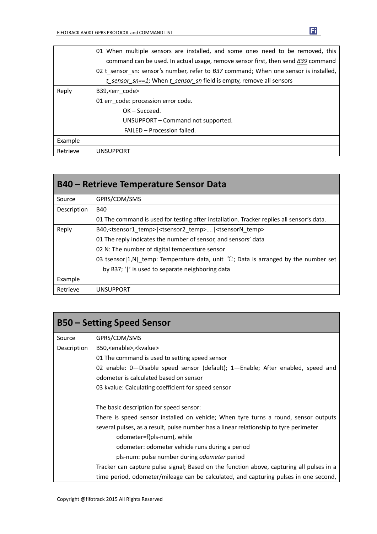|          | 01 When multiple sensors are installed, and some ones need to be removed, this              |
|----------|---------------------------------------------------------------------------------------------|
|          | command can be used. In actual usage, remove sensor first, then send B39 command            |
|          | 02 t_sensor_sn: sensor's number, refer to <b>B37</b> command; When one sensor is installed, |
|          | t sensor $sn == 1$ ; When t sensor sn field is empty, remove all sensors                    |
| Reply    | B39, <err code=""></err>                                                                    |
|          | 01 err code: procession error code.                                                         |
|          | $OK - Succeed.$                                                                             |
|          | UNSUPPORT – Command not supported.                                                          |
|          | FAILED - Procession failed.                                                                 |
| Example  |                                                                                             |
| Retrieve | <b>UNSUPPORT</b>                                                                            |

| <b>B40 – Retrieve Temperature Sensor Data</b> |                                                                                                |  |
|-----------------------------------------------|------------------------------------------------------------------------------------------------|--|
| Source                                        | GPRS/COM/SMS                                                                                   |  |
| Description                                   | <b>B40</b>                                                                                     |  |
|                                               | 01 The command is used for testing after installation. Tracker replies all sensor's data.      |  |
| Reply                                         | B40, <tsensor1 temp=""> <tsensor2 temp=""> <tsensorn temp=""></tsensorn></tsensor2></tsensor1> |  |
|                                               | 01 The reply indicates the number of sensor, and sensors' data                                 |  |
|                                               | 02 N: The number of digital temperature sensor                                                 |  |
|                                               | 03 tsensor[1,N] temp: Temperature data, unit $\degree$ C; Data is arranged by the number set   |  |
|                                               | by B37; ' ' is used to separate neighboring data                                               |  |
| Example                                       |                                                                                                |  |
| Retrieve                                      | UNSUPPORT                                                                                      |  |

| <b>B50 – Setting Speed Sensor</b> |                                                                                          |  |
|-----------------------------------|------------------------------------------------------------------------------------------|--|
| Source                            | GPRS/COM/SMS                                                                             |  |
| Description                       | B50, <enable>, &lt; kvalue&gt;</enable>                                                  |  |
|                                   | 01 The command is used to setting speed sensor                                           |  |
|                                   | 02 enable: 0-Disable speed sensor (default); 1-Enable; After enabled, speed and          |  |
|                                   | odometer is calculated based on sensor                                                   |  |
|                                   | 03 kvalue: Calculating coefficient for speed sensor                                      |  |
|                                   |                                                                                          |  |
|                                   | The basic description for speed sensor:                                                  |  |
|                                   | There is speed sensor installed on vehicle; When tyre turns a round, sensor outputs      |  |
|                                   | several pulses, as a result, pulse number has a linear relationship to tyre perimeter    |  |
|                                   | odometer=f(pls-num), while                                                               |  |
|                                   | odometer: odometer vehicle runs during a period                                          |  |
|                                   | pls-num: pulse number during <i>odometer</i> period                                      |  |
|                                   | Tracker can capture pulse signal; Based on the function above, capturing all pulses in a |  |
|                                   | time period, odometer/mileage can be calculated, and capturing pulses in one second,     |  |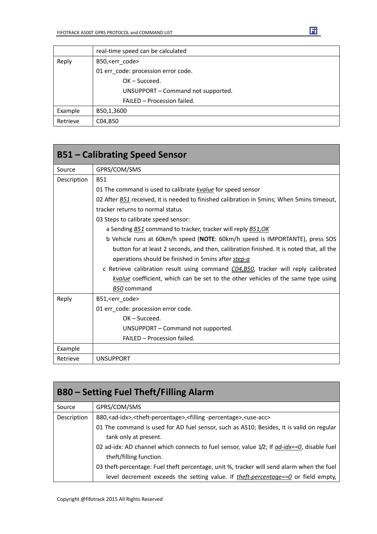|          | real-time speed can be calculated   |  |  |
|----------|-------------------------------------|--|--|
| Reply    | B50, <err code=""></err>            |  |  |
|          | 01 err code: procession error code. |  |  |
|          | $OK - Succeed.$                     |  |  |
|          | UNSUPPORT - Command not supported.  |  |  |
|          | FAILED - Procession failed.         |  |  |
| Example  | B50,1,3600                          |  |  |
| Retrieve | C04,B50                             |  |  |

|             | <b>B51 – Calibrating Speed Sensor</b>                                                            |  |  |  |
|-------------|--------------------------------------------------------------------------------------------------|--|--|--|
| Source      | GPRS/COM/SMS                                                                                     |  |  |  |
| Description | <b>B51</b>                                                                                       |  |  |  |
|             | 01 The command is used to calibrate kvalue for speed sensor                                      |  |  |  |
|             | 02 After <b>B51</b> received, it is needed to finished calibration in 5mins; When 5mins timeout, |  |  |  |
|             | tracker returns to normal status                                                                 |  |  |  |
|             | 03 Steps to calibrate speed sensor:                                                              |  |  |  |
|             | a Sending B51 command to tracker, tracker will reply B51,OK                                      |  |  |  |
|             | b Vehicle runs at 60km/h speed (NOTE: 60km/h speed is IMPORTANTE), press SOS                     |  |  |  |
|             | button for at least 2 seconds, and then, calibration finished. It is noted that, all the         |  |  |  |
|             | operations should be finished in 5mins after step-a                                              |  |  |  |
|             | c Retrieve calibration result using command CO4, B50, tracker will reply calibrated              |  |  |  |
|             | <i>kvalue</i> coefficient, which can be set to the other vehicles of the same type using         |  |  |  |
|             | B50 command                                                                                      |  |  |  |
| Reply       | B51, <err_code></err_code>                                                                       |  |  |  |
|             | 01 err_code: procession error code.                                                              |  |  |  |
|             | $OK - Succeed.$                                                                                  |  |  |  |
|             | UNSUPPORT - Command not supported.                                                               |  |  |  |
|             | FAILED - Procession failed.                                                                      |  |  |  |
| Example     |                                                                                                  |  |  |  |
| Retrieve    | <b>UNSUPPORT</b>                                                                                 |  |  |  |

| <b>B80 - Setting Fuel Theft/Filling Alarm</b> |                                                                                                                               |  |
|-----------------------------------------------|-------------------------------------------------------------------------------------------------------------------------------|--|
| Source                                        | GPRS/COM/SMS                                                                                                                  |  |
| Description                                   | B80, <ad-idx>, <theft-percentage>, <filling-percentage>, <use-acc></use-acc></filling-percentage></theft-percentage></ad-idx> |  |
|                                               | 01 The command is used for AD fuel sensor, such as AS10; Besides, it is valid on regular<br>tank only at present.             |  |
|                                               | 02 ad-idx: AD channel which connects to fuel sensor, value $1/2$ ; If $ad$ -idx==0, disable fuel<br>theft/filling function.   |  |
|                                               | 03 theft-percentage: Fuel theft percentage, unit %, tracker will send alarm when the fuel                                     |  |
|                                               | level decrement exceeds the setting value. If theft-percentage==0 or field empty,                                             |  |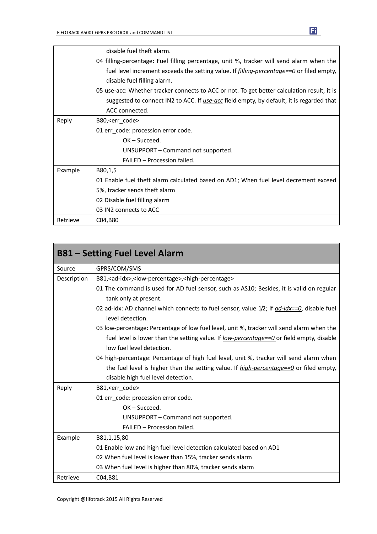|          | disable fuel theft alarm.                                                                       |
|----------|-------------------------------------------------------------------------------------------------|
|          | 04 filling-percentage: Fuel filling percentage, unit %, tracker will send alarm when the        |
|          | fuel level increment exceeds the setting value. If <i>filling-percentage==0</i> or filed empty, |
|          | disable fuel filling alarm.                                                                     |
|          | 05 use-acc: Whether tracker connects to ACC or not. To get better calculation result, it is     |
|          | suggested to connect IN2 to ACC. If use-acc field empty, by default, it is regarded that        |
|          | ACC connected.                                                                                  |
| Reply    | B80, <err_code></err_code>                                                                      |
|          | 01 err code: procession error code.                                                             |
|          | $OK - Succeed.$                                                                                 |
|          | UNSUPPORT - Command not supported.                                                              |
|          | FAILED - Procession failed.                                                                     |
| Example  | B80,1,5                                                                                         |
|          | 01 Enable fuel theft alarm calculated based on AD1; When fuel level decrement exceed            |
|          | 5%, tracker sends theft alarm                                                                   |
|          | 02 Disable fuel filling alarm                                                                   |
|          | 03 IN2 connects to ACC                                                                          |
| Retrieve | C04,B80                                                                                         |

| <b>B81 – Setting Fuel Level Alarm</b> |                                                                                                                   |  |  |
|---------------------------------------|-------------------------------------------------------------------------------------------------------------------|--|--|
| Source                                | GPRS/COM/SMS                                                                                                      |  |  |
| Description                           | B81, <ad-idx>,<low-percentage>,<high-percentage></high-percentage></low-percentage></ad-idx>                      |  |  |
|                                       | 01 The command is used for AD fuel sensor, such as AS10; Besides, it is valid on regular<br>tank only at present. |  |  |
|                                       | 02 ad-idx: AD channel which connects to fuel sensor, value 1/2; If ad-idx==0, disable fuel<br>level detection.    |  |  |
|                                       | 03 low-percentage: Percentage of low fuel level, unit %, tracker will send alarm when the                         |  |  |
|                                       | fuel level is lower than the setting value. If low-percentage==0 or field empty, disable                          |  |  |
|                                       | low fuel level detection.                                                                                         |  |  |
|                                       | 04 high-percentage: Percentage of high fuel level, unit %, tracker will send alarm when                           |  |  |
|                                       | the fuel level is higher than the setting value. If <i>high-percentage==0</i> or filed empty,                     |  |  |
|                                       | disable high fuel level detection.                                                                                |  |  |
| Reply                                 | B81, <err code=""></err>                                                                                          |  |  |
|                                       | 01 err code: procession error code.                                                                               |  |  |
|                                       | $OK - Succeed.$                                                                                                   |  |  |
|                                       | UNSUPPORT - Command not supported.                                                                                |  |  |
|                                       | FAILED - Procession failed.                                                                                       |  |  |
| Example                               | B81,1,15,80                                                                                                       |  |  |
|                                       | 01 Enable low and high fuel level detection calculated based on AD1                                               |  |  |
|                                       | 02 When fuel level is lower than 15%, tracker sends alarm                                                         |  |  |
|                                       | 03 When fuel level is higher than 80%, tracker sends alarm                                                        |  |  |
| Retrieve                              | C04,B81                                                                                                           |  |  |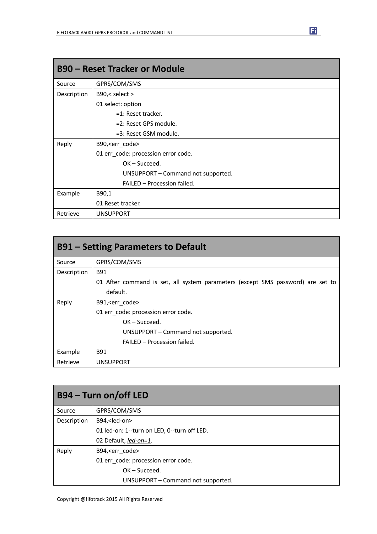| <b>B90 - Reset Tracker or Module</b> |                                     |  |
|--------------------------------------|-------------------------------------|--|
| Source                               | GPRS/COM/SMS                        |  |
| Description                          | B90,< select >                      |  |
|                                      | 01 select: option                   |  |
|                                      | $=1$ : Reset tracker.               |  |
|                                      | =2: Reset GPS module.               |  |
|                                      | =3: Reset GSM module.               |  |
| Reply                                | B90, <err_code></err_code>          |  |
|                                      | 01 err_code: procession error code. |  |
|                                      | $OK - Succeed.$                     |  |
|                                      | UNSUPPORT - Command not supported.  |  |
|                                      | FAILED - Procession failed.         |  |
| Example                              | B90,1                               |  |
|                                      | 01 Reset tracker.                   |  |
| Retrieve                             | <b>UNSUPPORT</b>                    |  |

| <b>B91 – Setting Parameters to Default</b> |                                                                                 |  |  |  |
|--------------------------------------------|---------------------------------------------------------------------------------|--|--|--|
| Source                                     | GPRS/COM/SMS                                                                    |  |  |  |
| Description                                | B91                                                                             |  |  |  |
|                                            | 01 After command is set, all system parameters (except SMS password) are set to |  |  |  |
|                                            | default.                                                                        |  |  |  |
| Reply                                      | B91, <err code=""></err>                                                        |  |  |  |
|                                            | 01 err code: procession error code.                                             |  |  |  |
|                                            | $OK - Succeed.$                                                                 |  |  |  |
|                                            | UNSUPPORT - Command not supported.                                              |  |  |  |
|                                            | FAILED - Procession failed.                                                     |  |  |  |
| Example                                    | B91                                                                             |  |  |  |
| Retrieve                                   | <b>UNSUPPORT</b>                                                                |  |  |  |

| B94 – Turn on/off LED |                                             |  |  |  |
|-----------------------|---------------------------------------------|--|--|--|
| Source                | GPRS/COM/SMS                                |  |  |  |
| Description           | B94, <led-on></led-on>                      |  |  |  |
|                       | 01 led-on: 1--turn on LED, 0--turn off LED. |  |  |  |
|                       | 02 Default, led-on=1.                       |  |  |  |
| Reply                 | B94, <err code=""></err>                    |  |  |  |
|                       | 01 err_code: procession error code.         |  |  |  |
|                       | $OK - Succeed.$                             |  |  |  |
|                       | UNSUPPORT - Command not supported.          |  |  |  |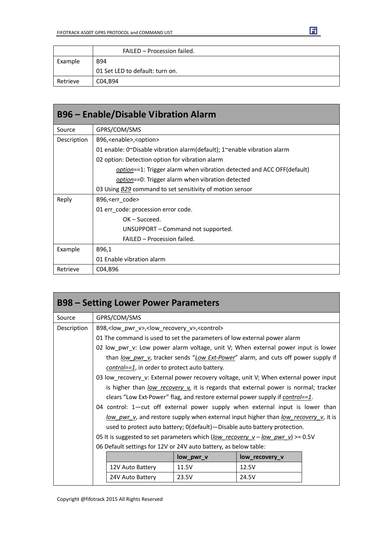|          | FAILED - Procession failed.     |
|----------|---------------------------------|
| Example  | <b>B94</b>                      |
|          | 01 Set LED to default: turn on. |
| Retrieve | C04,B94                         |

Ei

| <b>B96 – Enable/Disable Vibration Alarm</b> |                                                                               |  |
|---------------------------------------------|-------------------------------------------------------------------------------|--|
| Source                                      | GPRS/COM/SMS                                                                  |  |
| Description                                 | B96, <enable>,<option></option></enable>                                      |  |
|                                             | 01 enable: 0~Disable vibration alarm(default); 1~enable vibration alarm       |  |
|                                             | 02 option: Detection option for vibration alarm                               |  |
|                                             | <i>option</i> ==1: Trigger alarm when vibration detected and ACC OFF(default) |  |
|                                             | option==0: Trigger alarm when vibration detected                              |  |
|                                             | 03 Using B29 command to set sensitivity of motion sensor                      |  |
| Reply                                       | B96, < err code >                                                             |  |
|                                             | 01 err code: procession error code.                                           |  |
|                                             | $OK - Succeed.$                                                               |  |
|                                             | UNSUPPORT – Command not supported.                                            |  |
|                                             | FAILED - Procession failed.                                                   |  |
| Example                                     | B96,1                                                                         |  |
|                                             | 01 Enable vibration alarm                                                     |  |
| Retrieve                                    | C04, B96                                                                      |  |

| <b>B98 – Setting Lower Power Parameters</b> |                                                                                       |                  |                                               |                                                                                     |  |
|---------------------------------------------|---------------------------------------------------------------------------------------|------------------|-----------------------------------------------|-------------------------------------------------------------------------------------|--|
| Source                                      | GPRS/COM/SMS                                                                          |                  |                                               |                                                                                     |  |
| Description                                 | B98, <low_pwr_v>,<low_recovery_v>,<control></control></low_recovery_v></low_pwr_v>    |                  |                                               |                                                                                     |  |
|                                             |                                                                                       |                  |                                               | 01 The command is used to set the parameters of low external power alarm            |  |
|                                             |                                                                                       |                  |                                               | 02 low pwr v: Low power alarm voltage, unit V; When external power input is lower   |  |
|                                             |                                                                                       |                  |                                               | than low pwr v, tracker sends "Low Ext-Power" alarm, and cuts off power supply if   |  |
|                                             |                                                                                       |                  | control==1, in order to protect auto battery. |                                                                                     |  |
|                                             | 03 low_recovery_v: External power recovery voltage, unit V; When external power input |                  |                                               |                                                                                     |  |
|                                             | is higher than low recovery v, it is regards that external power is normal; tracker   |                  |                                               |                                                                                     |  |
|                                             | clears "Low Ext-Power" flag, and restore external power supply if <i>control==1</i> . |                  |                                               |                                                                                     |  |
|                                             | 04 control: 1—cut off external power supply when external input is lower than         |                  |                                               |                                                                                     |  |
|                                             |                                                                                       |                  |                                               | low pwr v, and restore supply when external input higher than low recovery v, it is |  |
|                                             | used to protect auto battery; O(default) - Disable auto battery protection.           |                  |                                               |                                                                                     |  |
|                                             | 05 It is suggested to set parameters which (low recovery $v - low$ pwr v) >= 0.5V     |                  |                                               |                                                                                     |  |
|                                             | 06 Default settings for 12V or 24V auto battery, as below table:                      |                  |                                               |                                                                                     |  |
|                                             |                                                                                       |                  | low_pwr_v                                     | low_recovery_v                                                                      |  |
|                                             |                                                                                       | 12V Auto Battery | 11.5V                                         | 12.5V                                                                               |  |
|                                             |                                                                                       | 24V Auto Battery | 23.5V                                         | 24.5V                                                                               |  |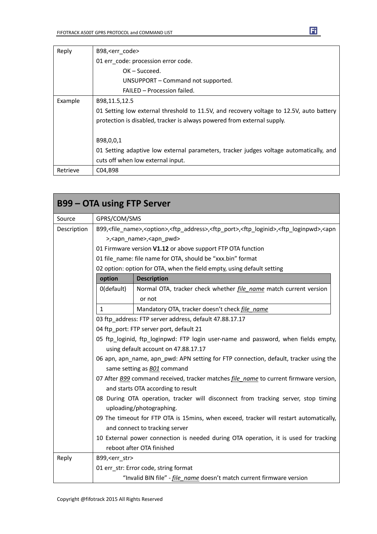| Reply    | B98, <err_code></err_code>                                                              |  |  |
|----------|-----------------------------------------------------------------------------------------|--|--|
|          | 01 err code: procession error code.                                                     |  |  |
|          | $OK - Succeed.$                                                                         |  |  |
|          | UNSUPPORT - Command not supported.                                                      |  |  |
|          | FAILED - Procession failed.                                                             |  |  |
| Example  | B98,11.5,12.5                                                                           |  |  |
|          | 01 Setting low external threshold to 11.5V, and recovery voltage to 12.5V, auto battery |  |  |
|          | protection is disabled, tracker is always powered from external supply.                 |  |  |
|          | B98,0,0,1                                                                               |  |  |
|          | 01 Setting adaptive low external parameters, tracker judges voltage automatically, and  |  |  |
|          | cuts off when low external input.                                                       |  |  |
| Retrieve | C04, B98                                                                                |  |  |

| <b>B99 - OTA using FTP Server</b> |                          |                                                                                                                                                                                |
|-----------------------------------|--------------------------|--------------------------------------------------------------------------------------------------------------------------------------------------------------------------------|
| Source                            | GPRS/COM/SMS             |                                                                                                                                                                                |
| Description                       |                          | B99, <file_name>,<option>,<ftp_address>,<ftp_port>,<ftp_loginid>,<ftp_loginpwd>,<apn< td=""></apn<></ftp_loginpwd></ftp_loginid></ftp_port></ftp_address></option></file_name> |
|                                   |                          | >, <apn_name>,<apn_pwd></apn_pwd></apn_name>                                                                                                                                   |
|                                   |                          | 01 Firmware version V1.12 or above support FTP OTA function                                                                                                                    |
|                                   |                          | 01 file_name: file name for OTA, should be "xxx.bin" format                                                                                                                    |
|                                   |                          | 02 option: option for OTA, when the field empty, using default setting                                                                                                         |
|                                   | option                   | <b>Description</b>                                                                                                                                                             |
|                                   | 0(default)               | Normal OTA, tracker check whether <i>file name</i> match current version                                                                                                       |
|                                   |                          | or not                                                                                                                                                                         |
|                                   | $\mathbf{1}$             | Mandatory OTA, tracker doesn't check file name                                                                                                                                 |
|                                   |                          | 03 ftp_address: FTP server address, default 47.88.17.17                                                                                                                        |
|                                   |                          | 04 ftp_port: FTP server port, default 21                                                                                                                                       |
|                                   |                          | 05 ftp_loginid, ftp_loginpwd: FTP login user-name and password, when fields empty,                                                                                             |
|                                   |                          | using default account on 47.88.17.17                                                                                                                                           |
|                                   |                          | 06 apn, apn_name, apn_pwd: APN setting for FTP connection, default, tracker using the                                                                                          |
|                                   |                          | same setting as <b>BO1</b> command                                                                                                                                             |
|                                   |                          | 07 After B99 command received, tracker matches file name to current firmware version,                                                                                          |
|                                   |                          | and starts OTA according to result                                                                                                                                             |
|                                   |                          | 08 During OTA operation, tracker will disconnect from tracking server, stop timing                                                                                             |
|                                   |                          | uploading/photographing.                                                                                                                                                       |
|                                   |                          | 09 The timeout for FTP OTA is 15mins, when exceed, tracker will restart automatically,                                                                                         |
|                                   |                          | and connect to tracking server                                                                                                                                                 |
|                                   |                          | 10 External power connection is needed during OTA operation, it is used for tracking                                                                                           |
|                                   |                          | reboot after OTA finished                                                                                                                                                      |
| Reply                             | B99, <err_str></err_str> |                                                                                                                                                                                |
|                                   |                          | 01 err_str: Error code, string format                                                                                                                                          |
|                                   |                          | "Invalid BIN file" - file_name doesn't match current firmware version                                                                                                          |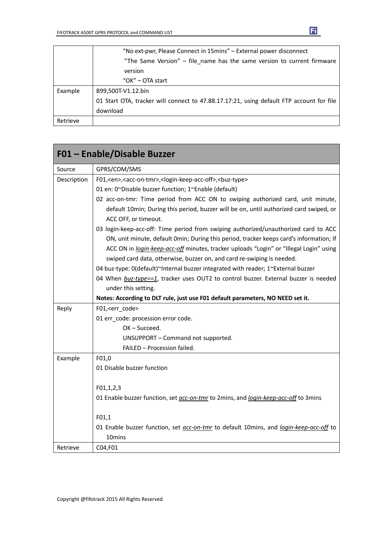|          | "No ext-pwr, Please Connect in 15mins" - External power disconnect                       |
|----------|------------------------------------------------------------------------------------------|
|          | "The Same Version" – file name has the same version to current firmware                  |
|          | version                                                                                  |
|          | "OK" – OTA start                                                                         |
| Example  | B99,500T-V1.12.bin                                                                       |
|          | 01 Start OTA, tracker will connect to 47.88.17.17:21, using default FTP account for file |
|          | download                                                                                 |
| Retrieve |                                                                                          |

| F01 - Enable/Disable Buzzer |                                                                                                                                 |  |
|-----------------------------|---------------------------------------------------------------------------------------------------------------------------------|--|
| Source                      | GPRS/COM/SMS                                                                                                                    |  |
| Description                 | F01, <en>, <acc-on-tmr>, <login-keep-acc-off>, <br/> <br/> <br/> <br/> <br/>huz-type&gt;</login-keep-acc-off></acc-on-tmr></en> |  |
|                             | 01 en: 0~Disable buzzer function; 1~Enable (default)                                                                            |  |
|                             | 02 acc-on-tmr: Time period from ACC ON to swiping authorized card, unit minute,                                                 |  |
|                             | default 10min; During this period, buzzer will be on, until authorized card swiped, or<br>ACC OFF, or timeout.                  |  |
|                             | 03 login-keep-acc-off: Time period from swiping authorized/unauthorized card to ACC                                             |  |
|                             | ON, unit minute, default Omin; During this period, tracker keeps card's information; If                                         |  |
|                             | ACC ON in login-keep-acc-off minutes, tracker uploads "Login" or "Illegal Login" using                                          |  |
|                             | swiped card data, otherwise, buzzer on, and card re-swiping is needed.                                                          |  |
|                             | 04 buz-type: 0(default)~Internal buzzer integrated with reader; 1~External buzzer                                               |  |
|                             | 04 When buz-type==1, tracker uses OUT2 to control buzzer. External buzzer is needed                                             |  |
|                             | under this setting.                                                                                                             |  |
|                             | Notes: According to DLT rule, just use F01 default parameters, NO NEED set it.                                                  |  |
| Reply                       | F01, <err_code></err_code>                                                                                                      |  |
|                             | 01 err code: procession error code.                                                                                             |  |
|                             | OK-Succeed.                                                                                                                     |  |
|                             | UNSUPPORT - Command not supported.                                                                                              |  |
|                             | FAILED - Procession failed.                                                                                                     |  |
| Example                     | F01,0                                                                                                                           |  |
|                             | 01 Disable buzzer function                                                                                                      |  |
|                             | F01, 1, 2, 3                                                                                                                    |  |
|                             | 01 Enable buzzer function, set acc-on-tmr to 2mins, and login-keep-acc-off to 3mins                                             |  |
|                             | F01,1                                                                                                                           |  |
|                             | 01 Enable buzzer function, set <i>acc-on-tmr</i> to default 10mins, and <i>login-keep-acc-off</i> to<br>10 <sub>mins</sub>      |  |
| Retrieve                    | C04,F01                                                                                                                         |  |

圃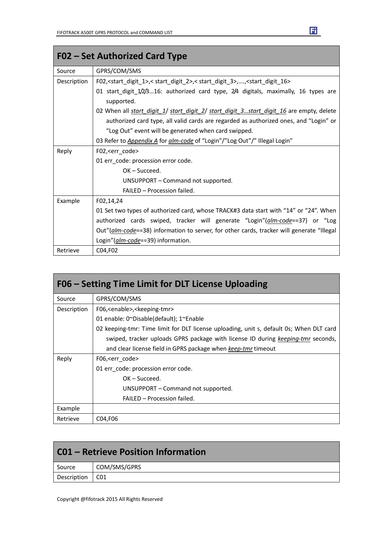|             | F02 – Set Authorized Card Type                                                                                                          |
|-------------|-----------------------------------------------------------------------------------------------------------------------------------------|
| Source      | GPRS/COM/SMS                                                                                                                            |
| Description | F02, <start_digit_1>,<start_digit_2>,<start_digit_3>,,<start_digit_16></start_digit_16></start_digit_3></start_digit_2></start_digit_1> |
|             | 01 start_digit_1/2/316: authorized card type, 2/4 digitals, maximally, 16 types are<br>supported.                                       |
|             | 02 When all <i>start digit 1/ start digit 2/ start digit 3start digit 16</i> are empty, delete                                          |
|             | authorized card type, all valid cards are regarded as authorized ones, and "Login" or                                                   |
|             | "Log Out" event will be generated when card swipped.                                                                                    |
|             | 03 Refer to <i>Appendix A</i> for <i>alm-code</i> of "Login"/"Log Out"/" Illegal Login"                                                 |
| Reply       | F02, <err code=""></err>                                                                                                                |
|             | 01 err code: procession error code.                                                                                                     |
|             | $OK - Succeed.$                                                                                                                         |
|             | UNSUPPORT - Command not supported.                                                                                                      |
|             | FAILED - Procession failed.                                                                                                             |
| Example     | F02,14,24                                                                                                                               |
|             | 01 Set two types of authorized card, whose TRACK#3 data start with "14" or "24". When                                                   |
|             | authorized cards swiped, tracker will generate "Login"(alm-code==37) or "Log                                                            |
|             | Out"(alm-code==38) information to server, for other cards, tracker will generate "Illegal                                               |
|             | Login"(alm-code==39) information.                                                                                                       |
| Retrieve    | C04,F02                                                                                                                                 |

| F06 – Setting Time Limit for DLT License Uploading |                                                                                         |  |
|----------------------------------------------------|-----------------------------------------------------------------------------------------|--|
| Source                                             | GPRS/COM/SMS                                                                            |  |
| Description                                        | F06, <enable>, &lt; keeping-tmr&gt;</enable>                                            |  |
|                                                    | 01 enable: 0~Disable(default); 1~Enable                                                 |  |
|                                                    | 02 keeping-tmr: Time limit for DLT license uploading, unit s, default 0s; When DLT card |  |
|                                                    | swiped, tracker uploads GPRS package with license ID during keeping-tmr seconds,        |  |
|                                                    | and clear license field in GPRS package when keep-tmr timeout                           |  |
| Reply                                              | F06, <err code=""></err>                                                                |  |
|                                                    | 01 err code: procession error code.                                                     |  |
|                                                    | $OK - Succeed.$                                                                         |  |
|                                                    | UNSUPPORT – Command not supported.                                                      |  |
|                                                    | FAILED - Procession failed.                                                             |  |
| Example                                            |                                                                                         |  |
| Retrieve                                           | C04, F06                                                                                |  |

| C01 – Retrieve Position Information |              |  |
|-------------------------------------|--------------|--|
| Source                              | COM/SMS/GPRS |  |
| Description                         | C01          |  |

E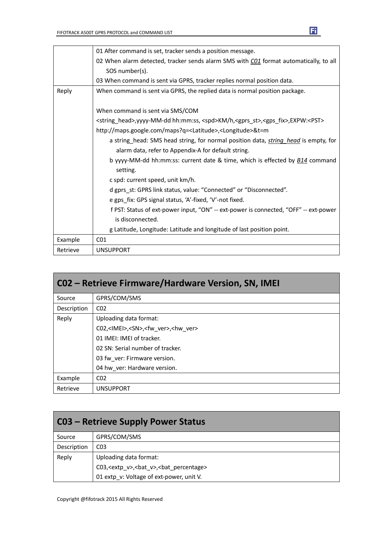|          | 01 After command is set, tracker sends a position message.                                                                |
|----------|---------------------------------------------------------------------------------------------------------------------------|
|          | 02 When alarm detected, tracker sends alarm SMS with CO1 format automatically, to all                                     |
|          | SOS number(s).                                                                                                            |
|          | 03 When command is sent via GPRS, tracker replies normal position data.                                                   |
| Reply    | When command is sent via GPRS, the replied data is normal position package.                                               |
|          | When command is sent via SMS/COM                                                                                          |
|          | <string_head>,yyyy-MM-dd hh:mm:ss, <spd>KM/h,<gprs_st>,<gps_fix>,EXPW:<pst></pst></gps_fix></gprs_st></spd></string_head> |
|          | http://maps.google.com/maps?q= <latitude>,<longitude>&amp;t=m</longitude></latitude>                                      |
|          | a string_head: SMS head string, for normal position data, string head is empty, for                                       |
|          | alarm data, refer to Appendix-A for default string.                                                                       |
|          | b yyyy-MM-dd hh:mm:ss: current date & time, which is effected by <b>B14</b> command<br>setting.                           |
|          | c spd: current speed, unit km/h.                                                                                          |
|          | d gprs_st: GPRS link status, value: "Connected" or "Disconnected".                                                        |
|          | e gps_fix: GPS signal status, 'A'-fixed, 'V'-not fixed.                                                                   |
|          | f PST: Status of ext-power input, "ON" -- ext-power is connected, "OFF" -- ext-power                                      |
|          | is disconnected.                                                                                                          |
|          | g Latitude, Longitude: Latitude and longitude of last position point.                                                     |
| Example  | CO <sub>1</sub>                                                                                                           |
| Retrieve | <b>UNSUPPORT</b>                                                                                                          |

| CO2 – Retrieve Firmware/Hardware Version, SN, IMEI |                                                                |  |
|----------------------------------------------------|----------------------------------------------------------------|--|
| Source                                             | GPRS/COM/SMS                                                   |  |
| Description                                        | CO <sub>2</sub>                                                |  |
| Reply                                              | Uploading data format:                                         |  |
|                                                    | C02, <imei>,<sn>,<fw ver="">,<hw ver=""></hw></fw></sn></imei> |  |
|                                                    | 01 IMEI: IMEI of tracker.                                      |  |
|                                                    | 02 SN: Serial number of tracker.                               |  |
|                                                    | 03 fw ver: Firmware version.                                   |  |
|                                                    | 04 hw ver: Hardware version.                                   |  |
| Example                                            | CO <sub>2</sub>                                                |  |
| Retrieve                                           | <b>UNSUPPORT</b>                                               |  |

| C03 – Retrieve Supply Power Status |                                                                  |  |
|------------------------------------|------------------------------------------------------------------|--|
| Source                             | GPRS/COM/SMS                                                     |  |
| Description                        | CO <sub>3</sub>                                                  |  |
| Reply                              | Uploading data format:                                           |  |
|                                    | C03, <extp v="">, <br/>bat v&gt;, <br/>bat percentage&gt;</extp> |  |
|                                    | 01 extp v: Voltage of ext-power, unit V.                         |  |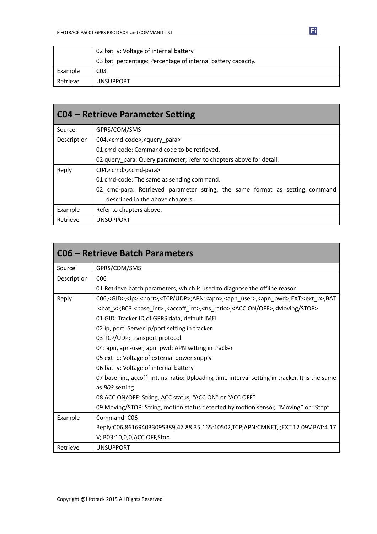|          | 02 bat v: Voltage of internal battery.                      |
|----------|-------------------------------------------------------------|
|          | 03 bat_percentage: Percentage of internal battery capacity. |
| Example  | CO <sub>3</sub>                                             |
| Retrieve | <b>UNSUPPORT</b>                                            |

| <b>CO4 – Retrieve Parameter Setting</b> |                                                                             |  |
|-----------------------------------------|-----------------------------------------------------------------------------|--|
| Source                                  | GPRS/COM/SMS                                                                |  |
| Description                             | C04, <cmd-code>,<query para=""></query></cmd-code>                          |  |
|                                         | 01 cmd-code: Command code to be retrieved.                                  |  |
|                                         | 02 query para: Query parameter; refer to chapters above for detail.         |  |
| Reply                                   | C04, <cmd>,<cmd-para></cmd-para></cmd>                                      |  |
|                                         | 01 cmd-code: The same as sending command.                                   |  |
|                                         | 02 cmd-para: Retrieved parameter string, the same format as setting command |  |
|                                         | described in the above chapters.                                            |  |
| Example                                 | Refer to chapters above.                                                    |  |
| Retrieve                                | <b>UNSUPPORT</b>                                                            |  |

| <b>CO6 - Retrieve Batch Parameters</b> |                                                                                                                                                |  |
|----------------------------------------|------------------------------------------------------------------------------------------------------------------------------------------------|--|
| Source                                 | GPRS/COM/SMS                                                                                                                                   |  |
| Description                            | C <sub>06</sub>                                                                                                                                |  |
|                                        | 01 Retrieve batch parameters, which is used to diagnose the offline reason                                                                     |  |
| Reply                                  | C06, <gid>,<ip>:<port>,<tcp udp="">;APN:<apn>,<apn user="">,<apn pwd="">;EXT:<ext p="">,BAT</ext></apn></apn></apn></tcp></port></ip></gid>    |  |
|                                        | : <bat_v>;B03:<base_int>,<accoff_int>,<ns_ratio>;<acc off="" on="">,<moving stop=""></moving></acc></ns_ratio></accoff_int></base_int></bat_v> |  |
|                                        | 01 GID: Tracker ID of GPRS data, default IMEI                                                                                                  |  |
|                                        | 02 ip, port: Server ip/port setting in tracker                                                                                                 |  |
|                                        | 03 TCP/UDP: transport protocol                                                                                                                 |  |
|                                        | 04: apn, apn-user, apn_pwd: APN setting in tracker                                                                                             |  |
|                                        | 05 ext_p: Voltage of external power supply                                                                                                     |  |
|                                        | 06 bat_v: Voltage of internal battery                                                                                                          |  |
|                                        | 07 base_int, accoff_int, ns_ratio: Uploading time interval setting in tracker. It is the same                                                  |  |
|                                        | as B03 setting                                                                                                                                 |  |
|                                        | 08 ACC ON/OFF: String, ACC status, "ACC ON" or "ACC OFF"                                                                                       |  |
|                                        | 09 Moving/STOP: String, motion status detected by motion sensor, "Moving" or "Stop"                                                            |  |
| Example                                | Command: C06                                                                                                                                   |  |
|                                        | Reply:C06,861694033095389,47.88.35.165:10502,TCP;APN:CMNET,,;EXT:12.09V,BAT:4.17                                                               |  |
|                                        | V; B03:10,0,0,ACC OFF,Stop                                                                                                                     |  |
| Retrieve                               | <b>UNSUPPORT</b>                                                                                                                               |  |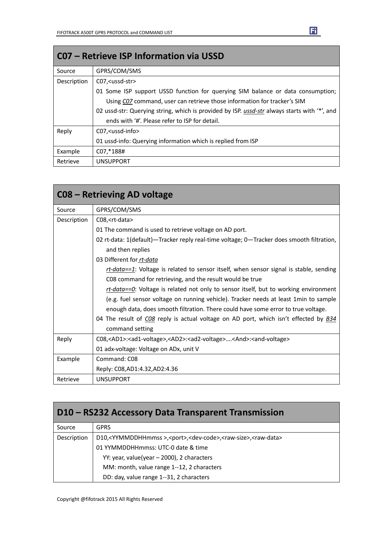| C07 – Retrieve ISP Information via USSD |                                                                                              |  |  |  |
|-----------------------------------------|----------------------------------------------------------------------------------------------|--|--|--|
| Source                                  | GPRS/COM/SMS                                                                                 |  |  |  |
| Description                             | $CO7$ , $<$ ussd-str $>$                                                                     |  |  |  |
|                                         | 01 Some ISP support USSD function for querying SIM balance or data consumption;              |  |  |  |
|                                         | Using C07 command, user can retrieve those information for tracker's SIM                     |  |  |  |
|                                         | 02 ussd-str: Querying string, which is provided by ISP. ussd-str always starts with "*', and |  |  |  |
|                                         | ends with '#'. Please refer to ISP for detail.                                               |  |  |  |
| Reply                                   | C07, <ussd-info></ussd-info>                                                                 |  |  |  |
|                                         | 01 ussd-info: Querying information which is replied from ISP                                 |  |  |  |
| Example                                 | C07,*188#                                                                                    |  |  |  |
| Retrieve                                | <b>UNSUPPORT</b>                                                                             |  |  |  |

|                  | C08 – Retrieving AD voltage                                                                                                 |  |  |  |
|------------------|-----------------------------------------------------------------------------------------------------------------------------|--|--|--|
| Source           | GPRS/COM/SMS                                                                                                                |  |  |  |
| Description      | C08, <rt-data></rt-data>                                                                                                    |  |  |  |
|                  | 01 The command is used to retrieve voltage on AD port.                                                                      |  |  |  |
|                  | 02 rt-data: 1(default) - Tracker reply real-time voltage; 0 - Tracker does smooth filtration,                               |  |  |  |
| and then replies |                                                                                                                             |  |  |  |
|                  | 03 Different for rt-data                                                                                                    |  |  |  |
|                  | rt-data==1: Voltage is related to sensor itself, when sensor signal is stable, sending                                      |  |  |  |
|                  | C08 command for retrieving, and the result would be true                                                                    |  |  |  |
|                  | rt-data==0: Voltage is related not only to sensor itself, but to working environment                                        |  |  |  |
|                  | (e.g. fuel sensor voltage on running vehicle). Tracker needs at least 1min to sample                                        |  |  |  |
|                  | enough data, does smooth filtration. There could have some error to true voltage.                                           |  |  |  |
|                  | 04 The result of CO8 reply is actual voltage on AD port, which isn't effected by B34                                        |  |  |  |
|                  | command setting                                                                                                             |  |  |  |
| Reply            | C08, <ad1>:<ad1-voltage>,<ad2>:<ad2-voltage><and>:<and-voltage></and-voltage></and></ad2-voltage></ad2></ad1-voltage></ad1> |  |  |  |
|                  | 01 adx-voltage: Voltage on ADx, unit V                                                                                      |  |  |  |
| Example          | Command: C08                                                                                                                |  |  |  |
|                  | Reply: C08, AD1: 4.32, AD2: 4.36                                                                                            |  |  |  |
| Retrieve         | <b>UNSUPPORT</b>                                                                                                            |  |  |  |

| D10 – RS232 Accessory Data Transparent Transmission |                                                                                                                    |  |
|-----------------------------------------------------|--------------------------------------------------------------------------------------------------------------------|--|
| Source                                              | <b>GPRS</b>                                                                                                        |  |
| Description                                         | D10, <yymmddhhmmss>,<port>,<dev-code>,<raw-size>,<raw-data></raw-data></raw-size></dev-code></port></yymmddhhmmss> |  |
|                                                     | 01 YYMMDDHHmmss: UTC-0 date & time                                                                                 |  |
|                                                     | YY: year, value(year - 2000), 2 characters                                                                         |  |
|                                                     | MM: month, value range 1--12, 2 characters                                                                         |  |
|                                                     | DD: day, value range 1--31, 2 characters                                                                           |  |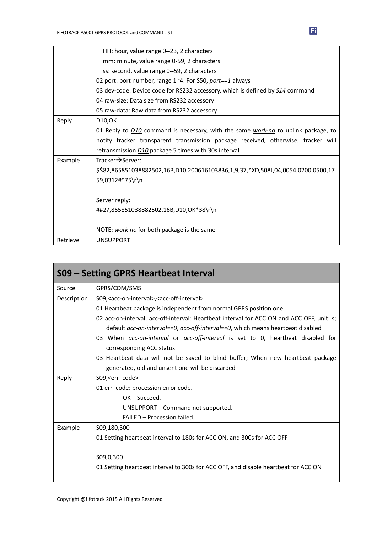|          | HH: hour, value range 0--23, 2 characters                                                       |  |  |  |
|----------|-------------------------------------------------------------------------------------------------|--|--|--|
|          | mm: minute, value range 0-59, 2 characters                                                      |  |  |  |
|          | ss: second, value range 0--59, 2 characters                                                     |  |  |  |
|          | 02 port: port number, range 1~4. For S50, port==1 always                                        |  |  |  |
|          | 03 dev-code: Device code for RS232 accessory, which is defined by S14 command                   |  |  |  |
|          | 04 raw-size: Data size from RS232 accessory                                                     |  |  |  |
|          | 05 raw-data: Raw data from RS232 accessory                                                      |  |  |  |
| Reply    | D10, OK                                                                                         |  |  |  |
|          | 01 Reply to <i>D10</i> command is necessary, with the same <i>work-no</i> to uplink package, to |  |  |  |
|          | notify tracker transparent transmission package received, otherwise, tracker will               |  |  |  |
|          | retransmission D10 package 5 times with 30s interval.                                           |  |  |  |
| Example  | Tracker $\rightarrow$ Server:                                                                   |  |  |  |
|          | \$\$82,865851038882502,16B,D10,200616103836,1,9,37,*XD,508J,04,0054,0200,0500,17                |  |  |  |
|          | 59,0312#*75\r\n                                                                                 |  |  |  |
|          |                                                                                                 |  |  |  |
|          | Server reply:                                                                                   |  |  |  |
|          | ##27,865851038882502,16B,D10,OK*38\r\n                                                          |  |  |  |
|          |                                                                                                 |  |  |  |
|          | NOTE: work-no for both package is the same                                                      |  |  |  |
| Retrieve | <b>UNSUPPORT</b>                                                                                |  |  |  |

| S09 – Setting GPRS Heartbeat Interval                                                                                     |                                                                                           |  |  |  |
|---------------------------------------------------------------------------------------------------------------------------|-------------------------------------------------------------------------------------------|--|--|--|
| Source                                                                                                                    | GPRS/COM/SMS                                                                              |  |  |  |
| Description                                                                                                               | S09, <acc-on-interval>,<acc-off-interval></acc-off-interval></acc-on-interval>            |  |  |  |
|                                                                                                                           | 01 Heartbeat package is independent from normal GPRS position one                         |  |  |  |
|                                                                                                                           | 02 acc-on-interval, acc-off-interval: Heartbeat interval for ACC ON and ACC OFF, unit: s; |  |  |  |
|                                                                                                                           | default <i>acc-on-interval==0, acc-off-interval==0</i> , which means heartbeat disabled   |  |  |  |
| 03 When <i>acc-on-interval</i> or <i>acc-off-interval</i> is set to 0, heartbeat disabled for<br>corresponding ACC status |                                                                                           |  |  |  |
|                                                                                                                           |                                                                                           |  |  |  |
|                                                                                                                           | generated, old and unsent one will be discarded                                           |  |  |  |
| Reply                                                                                                                     | S09, <err_code></err_code>                                                                |  |  |  |
| 01 err_code: procession error code.                                                                                       |                                                                                           |  |  |  |
|                                                                                                                           | OK-Succeed.                                                                               |  |  |  |
|                                                                                                                           | UNSUPPORT - Command not supported.                                                        |  |  |  |
|                                                                                                                           | FAILED - Procession failed.                                                               |  |  |  |
| Example                                                                                                                   | S09,180,300                                                                               |  |  |  |
|                                                                                                                           | 01 Setting heartbeat interval to 180s for ACC ON, and 300s for ACC OFF                    |  |  |  |
|                                                                                                                           |                                                                                           |  |  |  |
|                                                                                                                           | S09,0,300                                                                                 |  |  |  |
|                                                                                                                           | 01 Setting heartbeat interval to 300s for ACC OFF, and disable heartbeat for ACC ON       |  |  |  |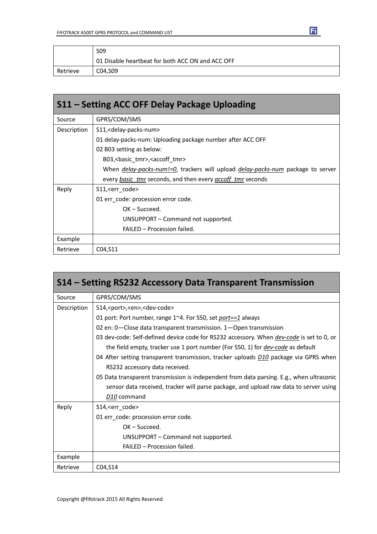|          | S <sub>09</sub>                                  |
|----------|--------------------------------------------------|
|          | 01 Disable heartbeat for both ACC ON and ACC OFF |
| Retrieve | C04, S09                                         |

| S11 – Setting ACC OFF Delay Package Uploading                                          |                                                                                 |  |  |  |
|----------------------------------------------------------------------------------------|---------------------------------------------------------------------------------|--|--|--|
| Source                                                                                 | GPRS/COM/SMS                                                                    |  |  |  |
| S11, <delay-packs-num><br/>Description</delay-packs-num>                               |                                                                                 |  |  |  |
| 01 delay-packs-num: Uploading package number after ACC OFF<br>02 B03 setting as below: |                                                                                 |  |  |  |
|                                                                                        |                                                                                 |  |  |  |
|                                                                                        | When delay-packs-num!=0, trackers will upload delay-packs-num package to server |  |  |  |
|                                                                                        | every <i>basic tmr</i> seconds, and then every <i>accoff tmr</i> seconds        |  |  |  |
| Reply<br>S11, <err code=""></err>                                                      |                                                                                 |  |  |  |
|                                                                                        | 01 err_code: procession error code.                                             |  |  |  |
|                                                                                        | $OK - Succeed.$                                                                 |  |  |  |
|                                                                                        | UNSUPPORT – Command not supported.                                              |  |  |  |
|                                                                                        | FAILED - Procession failed.                                                     |  |  |  |
| Example                                                                                |                                                                                 |  |  |  |
| Retrieve                                                                               | C04, S11                                                                        |  |  |  |

| S14 – Setting RS232 Accessory Data Transparent Transmission |                                                                                             |  |
|-------------------------------------------------------------|---------------------------------------------------------------------------------------------|--|
| Source                                                      | GPRS/COM/SMS                                                                                |  |
| Description                                                 | S14, <port>,<en>,<dev-code></dev-code></en></port>                                          |  |
|                                                             | 01 port: Port number, range 1~4. For S50, set <i>port==1</i> always                         |  |
|                                                             | 02 en: 0-Close data transparent transmission. 1-Open transmission                           |  |
|                                                             | 03 dev-code: Self-defined device code for RS232 accessory. When dev-code is set to 0, or    |  |
|                                                             | the field empty, tracker use 1 port number (For S50, 1) for <i>dev-code</i> as default      |  |
|                                                             | 04 After setting transparent transmission, tracker uploads <b>D10</b> package via GPRS when |  |
|                                                             | RS232 accessory data received.                                                              |  |
|                                                             | 05 Data transparent transmission is independent from data parsing. E.g., when ultrasonic    |  |
|                                                             | sensor data received, tracker will parse package, and upload raw data to server using       |  |
|                                                             | D10 command                                                                                 |  |
| Reply                                                       | S14, <err_code></err_code>                                                                  |  |
|                                                             | 01 err_code: procession error code.                                                         |  |
|                                                             | $OK - Succeed.$                                                                             |  |
|                                                             | UNSUPPORT - Command not supported.                                                          |  |
|                                                             | FAILED - Procession failed.                                                                 |  |
| Example                                                     |                                                                                             |  |
| Retrieve                                                    | C04, S14                                                                                    |  |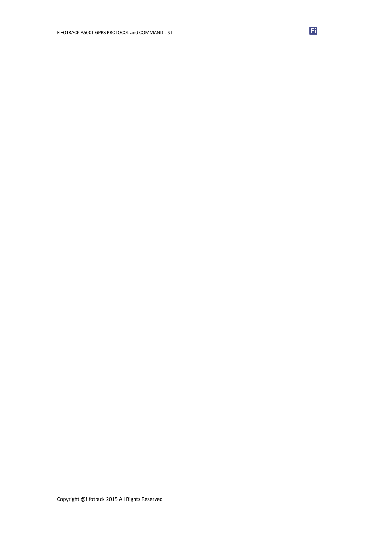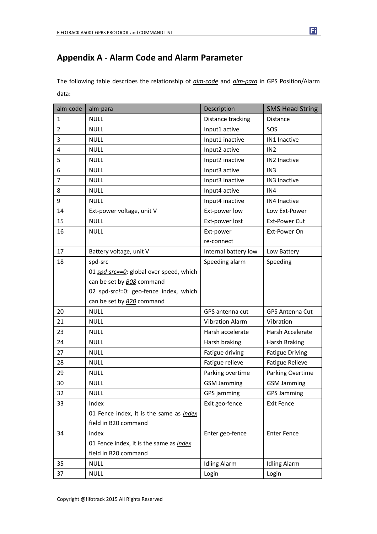### **Appendix A - Alarm Code and Alarm Parameter**

The following table describes the relationship of *alm-code* and *alm-para* in GPS Position/Alarm data:

| alm-code                | alm-para                                       | Description            | <b>SMS Head String</b> |
|-------------------------|------------------------------------------------|------------------------|------------------------|
| $\mathbf{1}$            | <b>NULL</b>                                    | Distance tracking      | <b>Distance</b>        |
| $\overline{2}$          | <b>NULL</b>                                    | Input1 active          | SOS                    |
| 3                       | <b>NULL</b>                                    | Input1 inactive        | IN1 Inactive           |
| $\overline{\mathbf{4}}$ | <b>NULL</b>                                    | Input2 active          | IN <sub>2</sub>        |
| 5                       | <b>NULL</b>                                    | Input2 inactive        | IN2 Inactive           |
| 6                       | <b>NULL</b>                                    | Input3 active          | IN <sub>3</sub>        |
| 7                       | <b>NULL</b>                                    | Input3 inactive        | <b>IN3 Inactive</b>    |
| 8                       | <b>NULL</b>                                    | Input4 active          | IN4                    |
| 9                       | <b>NULL</b>                                    | Input4 inactive        | IN4 Inactive           |
| 14                      | Ext-power voltage, unit V                      | Ext-power low          | Low Ext-Power          |
| 15                      | <b>NULL</b>                                    | Ext-power lost         | <b>Ext-Power Cut</b>   |
| 16                      | <b>NULL</b>                                    | Ext-power              | Ext-Power On           |
|                         |                                                | re-connect             |                        |
| 17                      | Battery voltage, unit V                        | Internal battery low   | Low Battery            |
| 18                      | spd-src                                        | Speeding alarm         | Speeding               |
|                         | 01 spd-src==0: global over speed, which        |                        |                        |
|                         | can be set by B08 command                      |                        |                        |
|                         | 02 spd-src!=0: geo-fence index, which          |                        |                        |
|                         | can be set by <b>B20</b> command               |                        |                        |
| 20                      | <b>NULL</b>                                    | GPS antenna cut        | <b>GPS Antenna Cut</b> |
| 21                      | <b>NULL</b>                                    | <b>Vibration Alarm</b> | Vibration              |
| 23                      | <b>NULL</b>                                    | Harsh accelerate       | Harsh Accelerate       |
| 24                      | <b>NULL</b>                                    | Harsh braking          | <b>Harsh Braking</b>   |
| 27                      | <b>NULL</b>                                    | Fatigue driving        | <b>Fatigue Driving</b> |
| 28                      | <b>NULL</b>                                    | Fatigue relieve        | <b>Fatigue Relieve</b> |
| 29                      | <b>NULL</b>                                    | Parking overtime       | Parking Overtime       |
| 30                      | <b>NULL</b>                                    | <b>GSM Jamming</b>     | <b>GSM Jamming</b>     |
| 32                      | <b>NULL</b>                                    | <b>GPS</b> jamming     | <b>GPS Jamming</b>     |
| 33                      | Index                                          | Exit geo-fence         | <b>Exit Fence</b>      |
|                         | 01 Fence index, it is the same as <i>index</i> |                        |                        |
|                         | field in B20 command                           |                        |                        |
| 34                      | index                                          | Enter geo-fence        | <b>Enter Fence</b>     |
|                         | 01 Fence index, it is the same as <i>index</i> |                        |                        |
|                         | field in B20 command                           |                        |                        |
| 35                      | <b>NULL</b>                                    | <b>Idling Alarm</b>    | <b>Idling Alarm</b>    |
| 37                      | <b>NULL</b>                                    | Login                  | Login                  |

圃